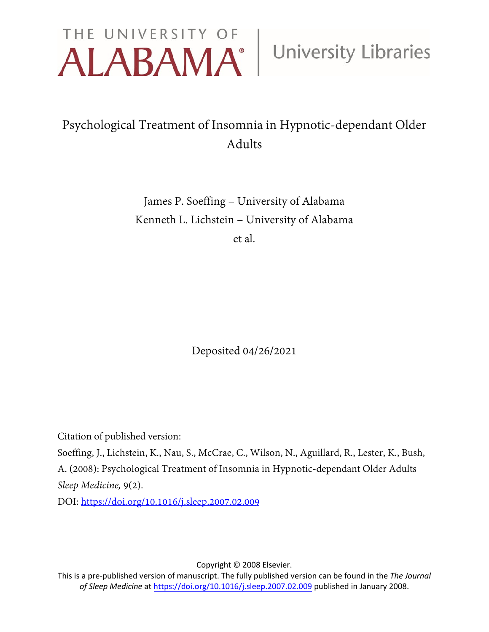# THE UNIVERSITY OF University Libraries

# Psychological Treatment of Insomnia in Hypnotic-dependant Older Adults

James P. Soeffing – University of Alabama Kenneth L. Lichstein – University of Alabama et al.

Deposited 04/26/2021

Citation of published version:

Soeffing, J., Lichstein, K., Nau, S., McCrae, C., Wilson, N., Aguillard, R., Lester, K., Bush, A. (2008): Psychological Treatment of Insomnia in Hypnotic-dependant Older Adults *Sleep Medicine,* 9(2).

DOI: <https://doi.org/10.1016/j.sleep.2007.02.009>

Copyright © 2008 Elsevier.

This is a pre-published version of manuscript. The fully published version can be found in the *The Journal of Sleep Medicine* at <https://doi.org/10.1016/j.sleep.2007.02.009> published in January 2008.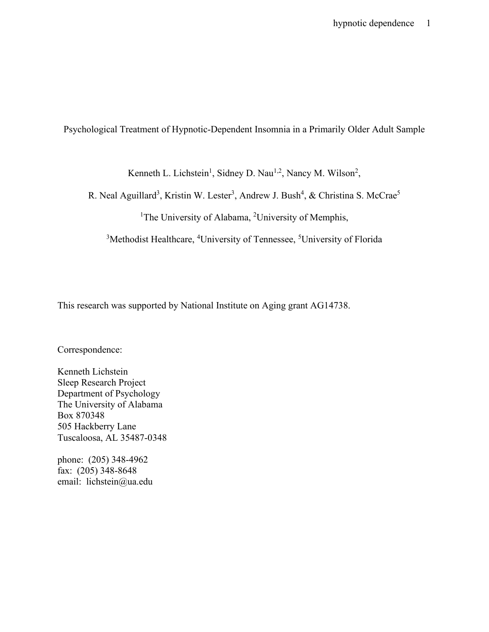Psychological Treatment of Hypnotic-Dependent Insomnia in a Primarily Older Adult Sample

## Kenneth L. Lichstein<sup>1</sup>, Sidney D. Nau<sup>1,2</sup>, Nancy M. Wilson<sup>2</sup>,

R. Neal Aguillard<sup>3</sup>, Kristin W. Lester<sup>3</sup>, Andrew J. Bush<sup>4</sup>, & Christina S. McCrae<sup>5</sup>

<sup>1</sup>The University of Alabama, <sup>2</sup>University of Memphis,

<sup>3</sup>Methodist Healthcare, <sup>4</sup>University of Tennessee, <sup>5</sup>University of Florida

This research was supported by National Institute on Aging grant AG14738.

Correspondence:

Kenneth Lichstein Sleep Research Project Department of Psychology The University of Alabama Box 870348 505 Hackberry Lane Tuscaloosa, AL 35487-0348

phone: (205) 348-4962 fax: (205) 348-8648 email: lichstein@ua.edu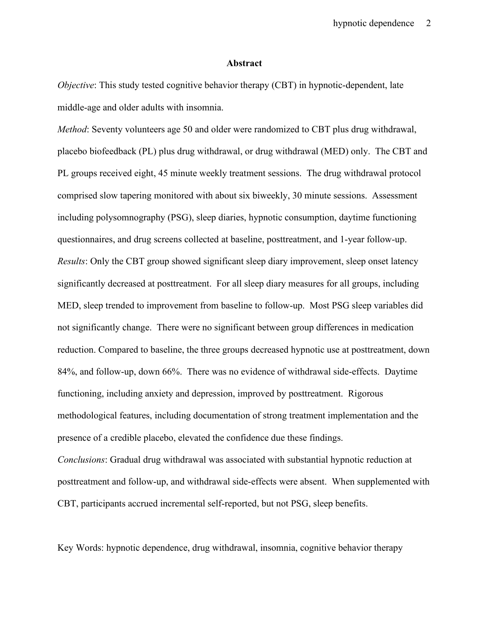#### **Abstract**

*Objective*: This study tested cognitive behavior therapy (CBT) in hypnotic-dependent, late middle-age and older adults with insomnia.

*Method*: Seventy volunteers age 50 and older were randomized to CBT plus drug withdrawal, placebo biofeedback (PL) plus drug withdrawal, or drug withdrawal (MED) only. The CBT and PL groups received eight, 45 minute weekly treatment sessions. The drug withdrawal protocol comprised slow tapering monitored with about six biweekly, 30 minute sessions. Assessment including polysomnography (PSG), sleep diaries, hypnotic consumption, daytime functioning questionnaires, and drug screens collected at baseline, posttreatment, and 1-year follow-up. *Results*: Only the CBT group showed significant sleep diary improvement, sleep onset latency significantly decreased at posttreatment. For all sleep diary measures for all groups, including MED, sleep trended to improvement from baseline to follow-up. Most PSG sleep variables did not significantly change. There were no significant between group differences in medication reduction. Compared to baseline, the three groups decreased hypnotic use at posttreatment, down 84%, and follow-up, down 66%. There was no evidence of withdrawal side-effects. Daytime functioning, including anxiety and depression, improved by posttreatment. Rigorous methodological features, including documentation of strong treatment implementation and the presence of a credible placebo, elevated the confidence due these findings. *Conclusions*: Gradual drug withdrawal was associated with substantial hypnotic reduction at

posttreatment and follow-up, and withdrawal side-effects were absent. When supplemented with CBT, participants accrued incremental self-reported, but not PSG, sleep benefits.

Key Words: hypnotic dependence, drug withdrawal, insomnia, cognitive behavior therapy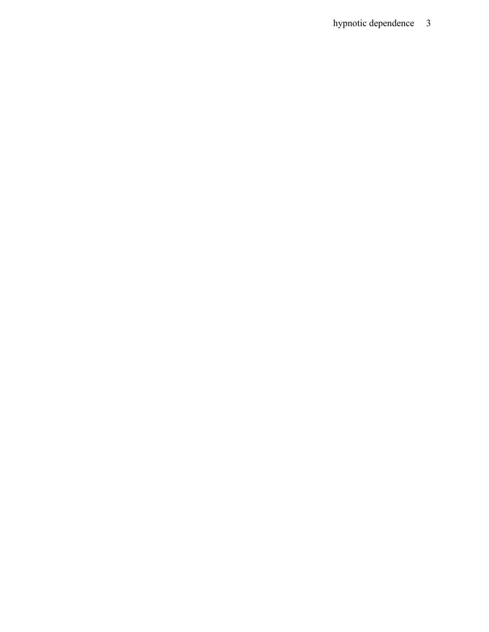# hypnotic dependence 3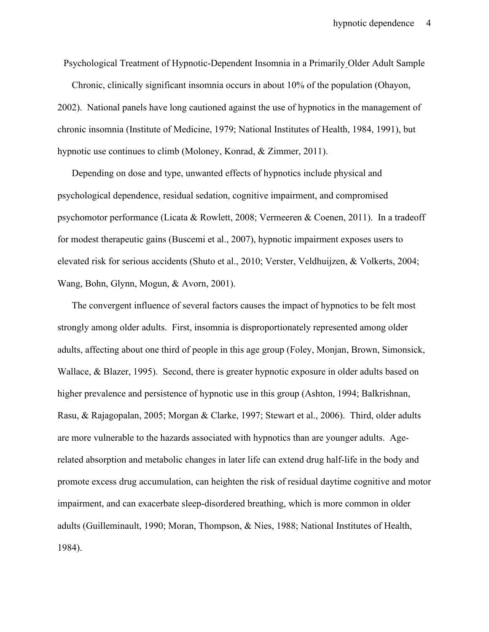Psychological Treatment of Hypnotic-Dependent Insomnia in a Primarily Older Adult Sample -

Chronic, clinically significant insomnia occurs in about 10% of the population (Ohayon, 2002). National panels have long cautioned against the use of hypnotics in the management of chronic insomnia (Institute of Medicine, 1979; National Institutes of Health, 1984, 1991), but hypnotic use continues to climb (Moloney, Konrad, & Zimmer, 2011).

Depending on dose and type, unwanted effects of hypnotics include physical and psychological dependence, residual sedation, cognitive impairment, and compromised psychomotor performance (Licata & Rowlett, 2008; Vermeeren & Coenen, 2011). In a tradeoff for modest therapeutic gains (Buscemi et al., 2007), hypnotic impairment exposes users to elevated risk for serious accidents (Shuto et al., 2010; Verster, Veldhuijzen, & Volkerts, 2004; Wang, Bohn, Glynn, Mogun, & Avorn, 2001).

The convergent influence of several factors causes the impact of hypnotics to be felt most strongly among older adults. First, insomnia is disproportionately represented among older adults, affecting about one third of people in this age group (Foley, Monjan, Brown, Simonsick, Wallace, & Blazer, 1995). Second, there is greater hypnotic exposure in older adults based on higher prevalence and persistence of hypnotic use in this group (Ashton, 1994; Balkrishnan, Rasu, & Rajagopalan, 2005; Morgan & Clarke, 1997; Stewart et al., 2006). Third, older adults are more vulnerable to the hazards associated with hypnotics than are younger adults. Agerelated absorption and metabolic changes in later life can extend drug half-life in the body and promote excess drug accumulation, can heighten the risk of residual daytime cognitive and motor impairment, and can exacerbate sleep-disordered breathing, which is more common in older adults (Guilleminault, 1990; Moran, Thompson, & Nies, 1988; National Institutes of Health, 1984).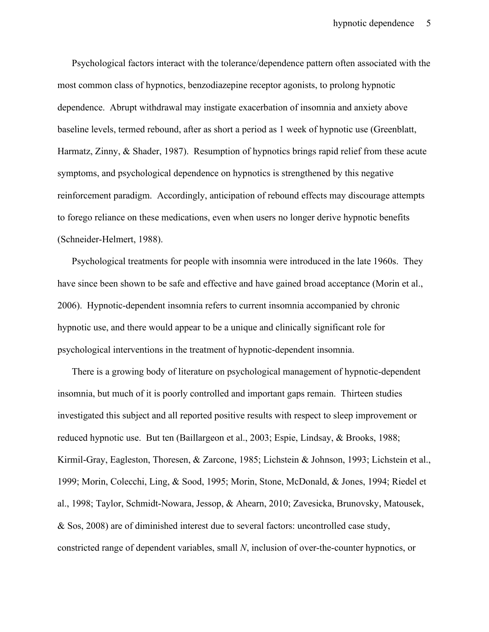Psychological factors interact with the tolerance/dependence pattern often associated with the most common class of hypnotics, benzodiazepine receptor agonists, to prolong hypnotic dependence. Abrupt withdrawal may instigate exacerbation of insomnia and anxiety above baseline levels, termed rebound, after as short a period as 1 week of hypnotic use (Greenblatt, Harmatz, Zinny, & Shader, 1987). Resumption of hypnotics brings rapid relief from these acute symptoms, and psychological dependence on hypnotics is strengthened by this negative reinforcement paradigm. Accordingly, anticipation of rebound effects may discourage attempts to forego reliance on these medications, even when users no longer derive hypnotic benefits (Schneider-Helmert, 1988).

Psychological treatments for people with insomnia were introduced in the late 1960s. They have since been shown to be safe and effective and have gained broad acceptance (Morin et al., 2006). Hypnotic-dependent insomnia refers to current insomnia accompanied by chronic hypnotic use, and there would appear to be a unique and clinically significant role for psychological interventions in the treatment of hypnotic-dependent insomnia.

There is a growing body of literature on psychological management of hypnotic-dependent insomnia, but much of it is poorly controlled and important gaps remain. Thirteen studies investigated this subject and all reported positive results with respect to sleep improvement or reduced hypnotic use. But ten (Baillargeon et al., 2003; Espie, Lindsay, & Brooks, 1988; Kirmil-Gray, Eagleston, Thoresen, & Zarcone, 1985; Lichstein & Johnson, 1993; Lichstein et al., 1999; Morin, Colecchi, Ling, & Sood, 1995; Morin, Stone, McDonald, & Jones, 1994; Riedel et al., 1998; Taylor, Schmidt-Nowara, Jessop, & Ahearn, 2010; Zavesicka, Brunovsky, Matousek, & Sos, 2008) are of diminished interest due to several factors: uncontrolled case study, constricted range of dependent variables, small *N*, inclusion of over-the-counter hypnotics, or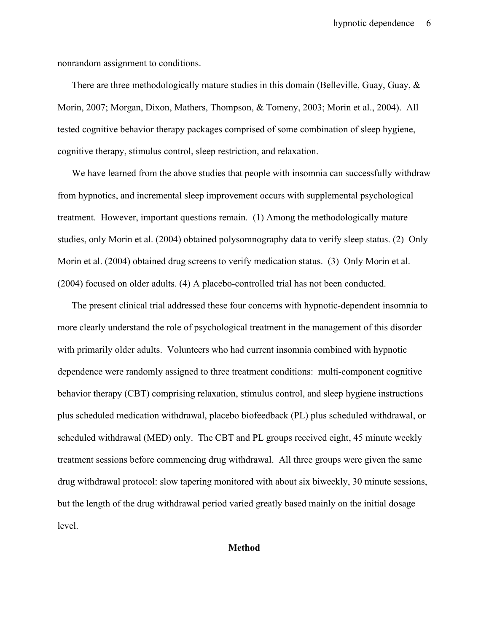nonrandom assignment to conditions.

There are three methodologically mature studies in this domain (Belleville, Guay, Guay,  $\&$ Morin, 2007; Morgan, Dixon, Mathers, Thompson, & Tomeny, 2003; Morin et al., 2004). All tested cognitive behavior therapy packages comprised of some combination of sleep hygiene, cognitive therapy, stimulus control, sleep restriction, and relaxation.

We have learned from the above studies that people with insomnia can successfully withdraw from hypnotics, and incremental sleep improvement occurs with supplemental psychological treatment. However, important questions remain. (1) Among the methodologically mature studies, only Morin et al. (2004) obtained polysomnography data to verify sleep status. (2) Only Morin et al. (2004) obtained drug screens to verify medication status. (3) Only Morin et al. (2004) focused on older adults. (4) A placebo-controlled trial has not been conducted.

The present clinical trial addressed these four concerns with hypnotic-dependent insomnia to more clearly understand the role of psychological treatment in the management of this disorder with primarily older adults. Volunteers who had current insomnia combined with hypnotic dependence were randomly assigned to three treatment conditions: multi-component cognitive behavior therapy (CBT) comprising relaxation, stimulus control, and sleep hygiene instructions plus scheduled medication withdrawal, placebo biofeedback (PL) plus scheduled withdrawal, or scheduled withdrawal (MED) only. The CBT and PL groups received eight, 45 minute weekly treatment sessions before commencing drug withdrawal. All three groups were given the same drug withdrawal protocol: slow tapering monitored with about six biweekly, 30 minute sessions, but the length of the drug withdrawal period varied greatly based mainly on the initial dosage level.

#### **Method**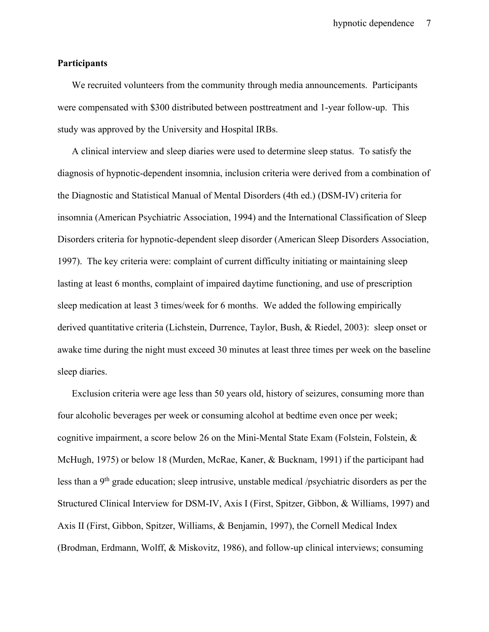#### **Participants**

We recruited volunteers from the community through media announcements. Participants were compensated with \$300 distributed between posttreatment and 1-year follow-up. This study was approved by the University and Hospital IRBs.

A clinical interview and sleep diaries were used to determine sleep status. To satisfy the diagnosis of hypnotic-dependent insomnia, inclusion criteria were derived from a combination of the Diagnostic and Statistical Manual of Mental Disorders (4th ed.) (DSM-IV) criteria for insomnia (American Psychiatric Association, 1994) and the International Classification of Sleep Disorders criteria for hypnotic-dependent sleep disorder (American Sleep Disorders Association, 1997). The key criteria were: complaint of current difficulty initiating or maintaining sleep lasting at least 6 months, complaint of impaired daytime functioning, and use of prescription sleep medication at least 3 times/week for 6 months. We added the following empirically derived quantitative criteria (Lichstein, Durrence, Taylor, Bush, & Riedel, 2003): sleep onset or awake time during the night must exceed 30 minutes at least three times per week on the baseline sleep diaries.

Exclusion criteria were age less than 50 years old, history of seizures, consuming more than four alcoholic beverages per week or consuming alcohol at bedtime even once per week; cognitive impairment, a score below 26 on the Mini-Mental State Exam (Folstein, Folstein, & McHugh, 1975) or below 18 (Murden, McRae, Kaner, & Bucknam, 1991) if the participant had less than a 9<sup>th</sup> grade education; sleep intrusive, unstable medical /psychiatric disorders as per the Structured Clinical Interview for DSM-IV, Axis I (First, Spitzer, Gibbon, & Williams, 1997) and Axis II (First, Gibbon, Spitzer, Williams, & Benjamin, 1997), the Cornell Medical Index (Brodman, Erdmann, Wolff, & Miskovitz, 1986), and follow-up clinical interviews; consuming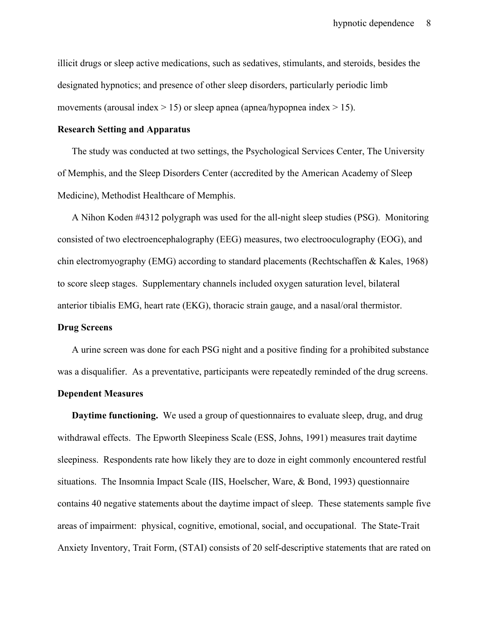illicit drugs or sleep active medications, such as sedatives, stimulants, and steroids, besides the designated hypnotics; and presence of other sleep disorders, particularly periodic limb movements (arousal index  $> 15$ ) or sleep apnea (apnea/hypopnea index  $> 15$ ).

#### **Research Setting and Apparatus**

The study was conducted at two settings, the Psychological Services Center, The University of Memphis, and the Sleep Disorders Center (accredited by the American Academy of Sleep Medicine), Methodist Healthcare of Memphis.

A Nihon Koden #4312 polygraph was used for the all-night sleep studies (PSG). Monitoring consisted of two electroencephalography (EEG) measures, two electrooculography (EOG), and chin electromyography (EMG) according to standard placements (Rechtschaffen & Kales, 1968) to score sleep stages. Supplementary channels included oxygen saturation level, bilateral anterior tibialis EMG, heart rate (EKG), thoracic strain gauge, and a nasal/oral thermistor.

#### **Drug Screens**

A urine screen was done for each PSG night and a positive finding for a prohibited substance was a disqualifier. As a preventative, participants were repeatedly reminded of the drug screens.

#### **Dependent Measures**

**Daytime functioning.** We used a group of questionnaires to evaluate sleep, drug, and drug withdrawal effects. The Epworth Sleepiness Scale (ESS, Johns, 1991) measures trait daytime sleepiness. Respondents rate how likely they are to doze in eight commonly encountered restful situations. The Insomnia Impact Scale (IIS, Hoelscher, Ware, & Bond, 1993) questionnaire contains 40 negative statements about the daytime impact of sleep. These statements sample five areas of impairment: physical, cognitive, emotional, social, and occupational. The State-Trait Anxiety Inventory, Trait Form, (STAI) consists of 20 self-descriptive statements that are rated on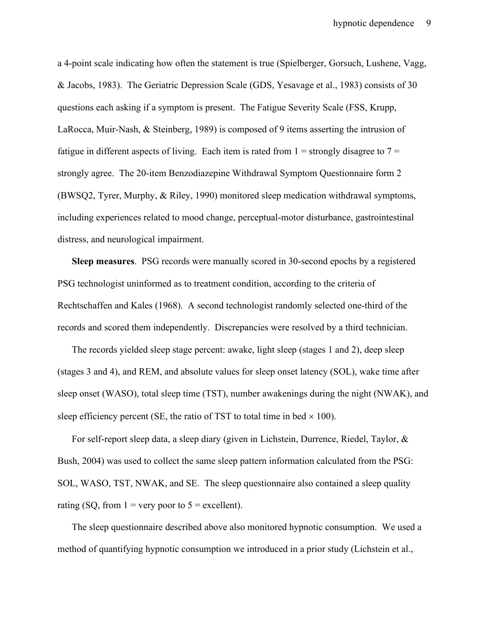a 4-point scale indicating how often the statement is true (Spielberger, Gorsuch, Lushene, Vagg, & Jacobs, 1983). The Geriatric Depression Scale (GDS, Yesavage et al., 1983) consists of 30 questions each asking if a symptom is present. The Fatigue Severity Scale (FSS, Krupp, LaRocca, Muir-Nash, & Steinberg, 1989) is composed of 9 items asserting the intrusion of fatigue in different aspects of living. Each item is rated from  $1 =$  strongly disagree to  $7 =$ strongly agree. The 20-item Benzodiazepine Withdrawal Symptom Questionnaire form 2 (BWSQ2, Tyrer, Murphy, & Riley, 1990) monitored sleep medication withdrawal symptoms, including experiences related to mood change, perceptual-motor disturbance, gastrointestinal distress, and neurological impairment.

**Sleep measures**. PSG records were manually scored in 30-second epochs by a registered PSG technologist uninformed as to treatment condition, according to the criteria of Rechtschaffen and Kales (1968). A second technologist randomly selected one-third of the records and scored them independently. Discrepancies were resolved by a third technician.

The records yielded sleep stage percent: awake, light sleep (stages 1 and 2), deep sleep (stages 3 and 4), and REM, and absolute values for sleep onset latency (SOL), wake time after sleep onset (WASO), total sleep time (TST), number awakenings during the night (NWAK), and sleep efficiency percent (SE, the ratio of TST to total time in bed  $\times$  100).

For self-report sleep data, a sleep diary (given in Lichstein, Durrence, Riedel, Taylor, & Bush, 2004) was used to collect the same sleep pattern information calculated from the PSG: SOL, WASO, TST, NWAK, and SE. The sleep questionnaire also contained a sleep quality rating (SO, from  $1 =$  very poor to  $5 =$  excellent).

The sleep questionnaire described above also monitored hypnotic consumption. We used a method of quantifying hypnotic consumption we introduced in a prior study (Lichstein et al.,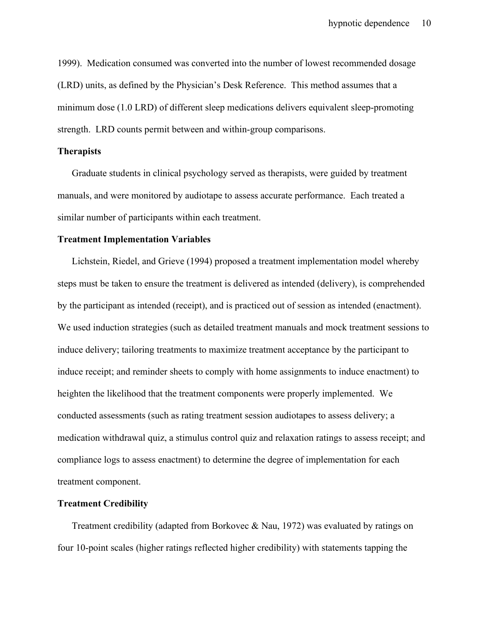1999). Medication consumed was converted into the number of lowest recommended dosage (LRD) units, as defined by the Physician's Desk Reference. This method assumes that a minimum dose (1.0 LRD) of different sleep medications delivers equivalent sleep-promoting strength. LRD counts permit between and within-group comparisons.

#### **Therapists**

Graduate students in clinical psychology served as therapists, were guided by treatment manuals, and were monitored by audiotape to assess accurate performance. Each treated a similar number of participants within each treatment.

#### **Treatment Implementation Variables**

Lichstein, Riedel, and Grieve (1994) proposed a treatment implementation model whereby steps must be taken to ensure the treatment is delivered as intended (delivery), is comprehended by the participant as intended (receipt), and is practiced out of session as intended (enactment). We used induction strategies (such as detailed treatment manuals and mock treatment sessions to induce delivery; tailoring treatments to maximize treatment acceptance by the participant to induce receipt; and reminder sheets to comply with home assignments to induce enactment) to heighten the likelihood that the treatment components were properly implemented. We conducted assessments (such as rating treatment session audiotapes to assess delivery; a medication withdrawal quiz, a stimulus control quiz and relaxation ratings to assess receipt; and compliance logs to assess enactment) to determine the degree of implementation for each treatment component.

#### **Treatment Credibility**

Treatment credibility (adapted from Borkovec & Nau, 1972) was evaluated by ratings on four 10-point scales (higher ratings reflected higher credibility) with statements tapping the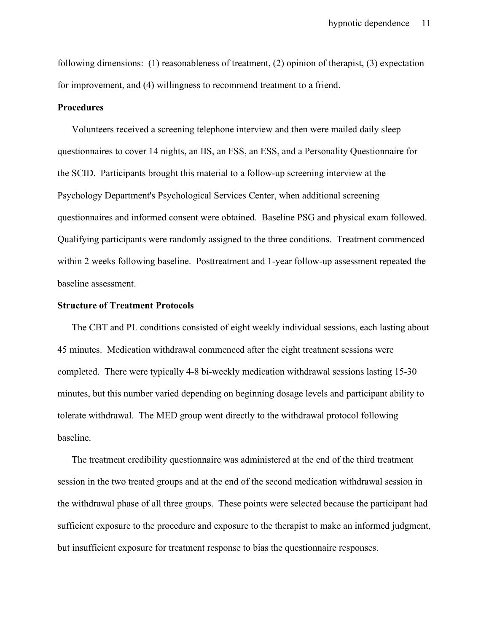following dimensions: (1) reasonableness of treatment, (2) opinion of therapist, (3) expectation for improvement, and (4) willingness to recommend treatment to a friend.

#### **Procedures**

Volunteers received a screening telephone interview and then were mailed daily sleep questionnaires to cover 14 nights, an IIS, an FSS, an ESS, and a Personality Questionnaire for the SCID. Participants brought this material to a follow-up screening interview at the Psychology Department's Psychological Services Center, when additional screening questionnaires and informed consent were obtained. Baseline PSG and physical exam followed. Qualifying participants were randomly assigned to the three conditions. Treatment commenced within 2 weeks following baseline. Posttreatment and 1-year follow-up assessment repeated the baseline assessment.

#### **Structure of Treatment Protocols**

The CBT and PL conditions consisted of eight weekly individual sessions, each lasting about 45 minutes. Medication withdrawal commenced after the eight treatment sessions were completed. There were typically 4-8 bi-weekly medication withdrawal sessions lasting 15-30 minutes, but this number varied depending on beginning dosage levels and participant ability to tolerate withdrawal. The MED group went directly to the withdrawal protocol following baseline.

The treatment credibility questionnaire was administered at the end of the third treatment session in the two treated groups and at the end of the second medication withdrawal session in the withdrawal phase of all three groups. These points were selected because the participant had sufficient exposure to the procedure and exposure to the therapist to make an informed judgment, but insufficient exposure for treatment response to bias the questionnaire responses.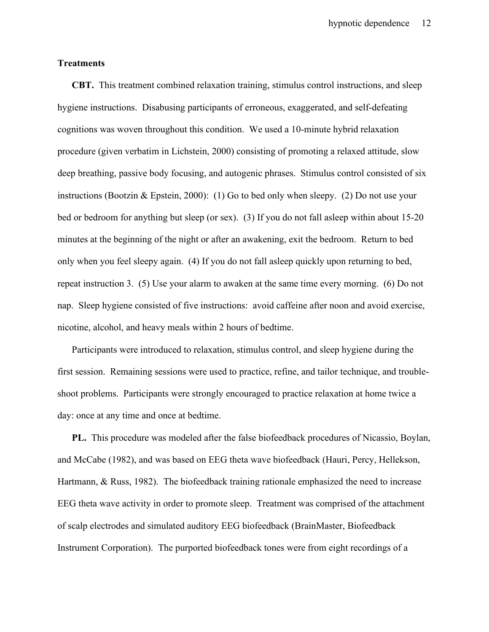#### **Treatments**

**CBT.** This treatment combined relaxation training, stimulus control instructions, and sleep hygiene instructions. Disabusing participants of erroneous, exaggerated, and self-defeating cognitions was woven throughout this condition. We used a 10-minute hybrid relaxation procedure (given verbatim in Lichstein, 2000) consisting of promoting a relaxed attitude, slow deep breathing, passive body focusing, and autogenic phrases. Stimulus control consisted of six instructions (Bootzin & Epstein, 2000): (1) Go to bed only when sleepy. (2) Do not use your bed or bedroom for anything but sleep (or sex). (3) If you do not fall asleep within about 15-20 minutes at the beginning of the night or after an awakening, exit the bedroom. Return to bed only when you feel sleepy again. (4) If you do not fall asleep quickly upon returning to bed, repeat instruction 3. (5) Use your alarm to awaken at the same time every morning. (6) Do not nap. Sleep hygiene consisted of five instructions: avoid caffeine after noon and avoid exercise, nicotine, alcohol, and heavy meals within 2 hours of bedtime.

Participants were introduced to relaxation, stimulus control, and sleep hygiene during the first session. Remaining sessions were used to practice, refine, and tailor technique, and troubleshoot problems. Participants were strongly encouraged to practice relaxation at home twice a day: once at any time and once at bedtime.

**PL.** This procedure was modeled after the false biofeedback procedures of Nicassio, Boylan, and McCabe (1982), and was based on EEG theta wave biofeedback (Hauri, Percy, Hellekson, Hartmann, & Russ, 1982). The biofeedback training rationale emphasized the need to increase EEG theta wave activity in order to promote sleep. Treatment was comprised of the attachment of scalp electrodes and simulated auditory EEG biofeedback (BrainMaster, Biofeedback Instrument Corporation). The purported biofeedback tones were from eight recordings of a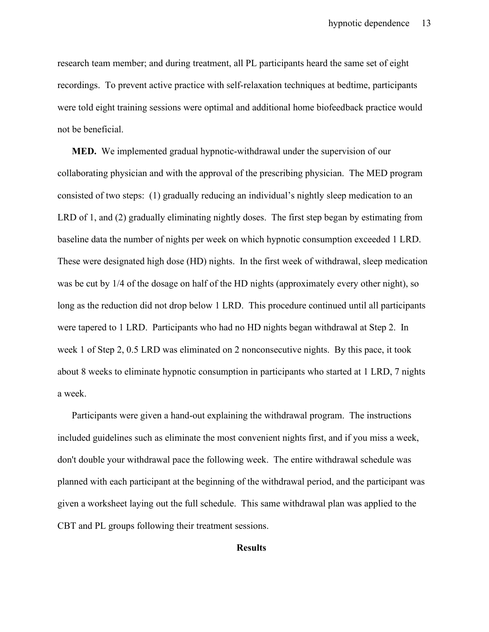research team member; and during treatment, all PL participants heard the same set of eight recordings. To prevent active practice with self-relaxation techniques at bedtime, participants were told eight training sessions were optimal and additional home biofeedback practice would not be beneficial.

**MED.** We implemented gradual hypnotic-withdrawal under the supervision of our collaborating physician and with the approval of the prescribing physician. The MED program consisted of two steps: (1) gradually reducing an individual's nightly sleep medication to an LRD of 1, and (2) gradually eliminating nightly doses. The first step began by estimating from baseline data the number of nights per week on which hypnotic consumption exceeded 1 LRD. These were designated high dose (HD) nights. In the first week of withdrawal, sleep medication was be cut by 1/4 of the dosage on half of the HD nights (approximately every other night), so long as the reduction did not drop below 1 LRD. This procedure continued until all participants were tapered to 1 LRD. Participants who had no HD nights began withdrawal at Step 2. In week 1 of Step 2, 0.5 LRD was eliminated on 2 nonconsecutive nights. By this pace, it took about 8 weeks to eliminate hypnotic consumption in participants who started at 1 LRD, 7 nights a week.

Participants were given a hand-out explaining the withdrawal program. The instructions included guidelines such as eliminate the most convenient nights first, and if you miss a week, don't double your withdrawal pace the following week. The entire withdrawal schedule was planned with each participant at the beginning of the withdrawal period, and the participant was given a worksheet laying out the full schedule. This same withdrawal plan was applied to the CBT and PL groups following their treatment sessions.

#### **Results**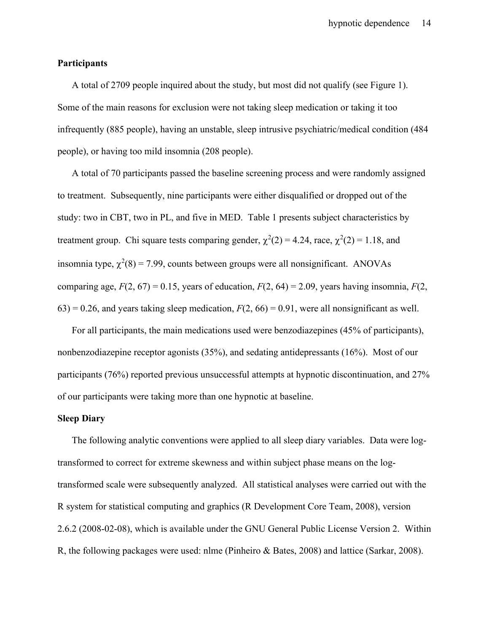#### **Participants**

A total of 2709 people inquired about the study, but most did not qualify (see Figure 1). Some of the main reasons for exclusion were not taking sleep medication or taking it too infrequently (885 people), having an unstable, sleep intrusive psychiatric/medical condition (484 people), or having too mild insomnia (208 people).

A total of 70 participants passed the baseline screening process and were randomly assigned to treatment. Subsequently, nine participants were either disqualified or dropped out of the study: two in CBT, two in PL, and five in MED. Table 1 presents subject characteristics by treatment group. Chi square tests comparing gender,  $\chi^2(2) = 4.24$ , race,  $\chi^2(2) = 1.18$ , and insomnia type,  $\chi^2(8) = 7.99$ , counts between groups were all nonsignificant. ANOVAs comparing age,  $F(2, 67) = 0.15$ , years of education,  $F(2, 64) = 2.09$ , years having insomnia,  $F(2, 64) = 2.09$  $63$ ) = 0.26, and years taking sleep medication,  $F(2, 66) = 0.91$ , were all nonsignificant as well.

For all participants, the main medications used were benzodiazepines (45% of participants), nonbenzodiazepine receptor agonists (35%), and sedating antidepressants (16%). Most of our participants (76%) reported previous unsuccessful attempts at hypnotic discontinuation, and 27% of our participants were taking more than one hypnotic at baseline.

#### **Sleep Diary**

The following analytic conventions were applied to all sleep diary variables. Data were logtransformed to correct for extreme skewness and within subject phase means on the logtransformed scale were subsequently analyzed. All statistical analyses were carried out with the R system for statistical computing and graphics (R Development Core Team, 2008), version 2.6.2 (2008-02-08), which is available under the GNU General Public License Version 2. Within R, the following packages were used: nlme (Pinheiro & Bates, 2008) and lattice (Sarkar, 2008).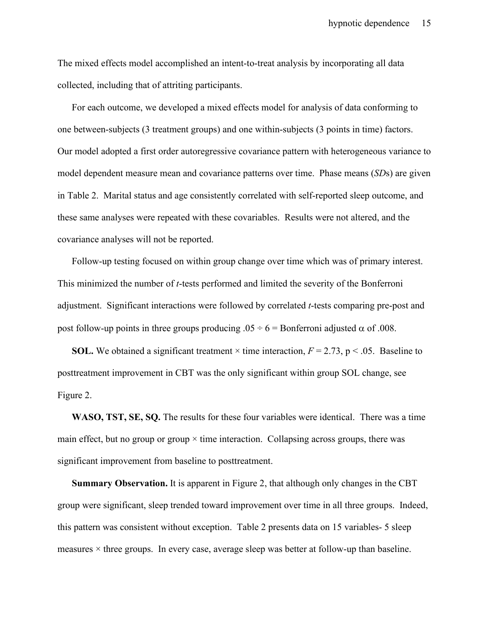The mixed effects model accomplished an intent-to-treat analysis by incorporating all data collected, including that of attriting participants.

For each outcome, we developed a mixed effects model for analysis of data conforming to one between-subjects (3 treatment groups) and one within-subjects (3 points in time) factors. Our model adopted a first order autoregressive covariance pattern with heterogeneous variance to model dependent measure mean and covariance patterns over time. Phase means (*SD*s) are given in Table 2. Marital status and age consistently correlated with self-reported sleep outcome, and these same analyses were repeated with these covariables. Results were not altered, and the covariance analyses will not be reported.

Follow-up testing focused on within group change over time which was of primary interest. This minimized the number of *t*-tests performed and limited the severity of the Bonferroni adjustment. Significant interactions were followed by correlated *t*-tests comparing pre-post and post follow-up points in three groups producing  $.05 \div 6 =$  Bonferroni adjusted α of .008.

**SOL.** We obtained a significant treatment  $\times$  time interaction,  $F = 2.73$ , p < .05. Baseline to posttreatment improvement in CBT was the only significant within group SOL change, see Figure 2.

**WASO, TST, SE, SQ.** The results for these four variables were identical. There was a time main effect, but no group or group  $\times$  time interaction. Collapsing across groups, there was significant improvement from baseline to posttreatment.

**Summary Observation.** It is apparent in Figure 2, that although only changes in the CBT group were significant, sleep trended toward improvement over time in all three groups. Indeed, this pattern was consistent without exception. Table 2 presents data on 15 variables- 5 sleep measures × three groups. In every case, average sleep was better at follow-up than baseline.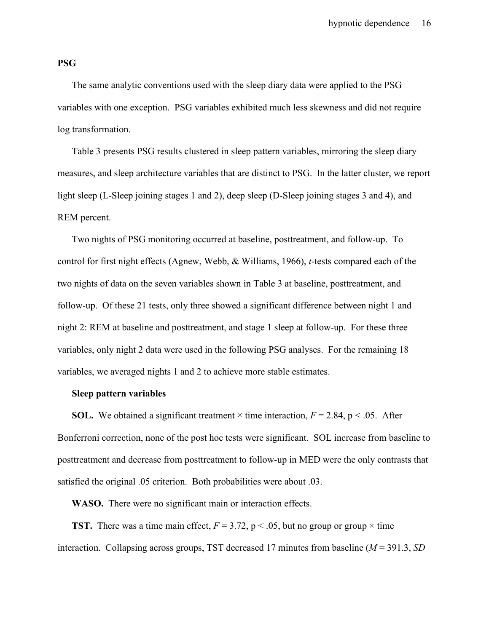#### **PSG**

The same analytic conventions used with the sleep diary data were applied to the PSG variables with one exception. PSG variables exhibited much less skewness and did not require log transformation.

Table 3 presents PSG results clustered in sleep pattern variables, mirroring the sleep diary measures, and sleep architecture variables that are distinct to PSG. In the latter cluster, we report light sleep (L-Sleep joining stages 1 and 2), deep sleep (D-Sleep joining stages 3 and 4), and REM percent.

Two nights of PSG monitoring occurred at baseline, posttreatment, and follow-up. To control for first night effects (Agnew, Webb, & Williams, 1966), *t*-tests compared each of the two nights of data on the seven variables shown in Table 3 at baseline, posttreatment, and follow-up. Of these 21 tests, only three showed a significant difference between night 1 and night 2: REM at baseline and posttreatment, and stage 1 sleep at follow-up. For these three variables, only night 2 data were used in the following PSG analyses. For the remaining 18 variables, we averaged nights 1 and 2 to achieve more stable estimates.

#### **Sleep pattern variables**

**SOL.** We obtained a significant treatment  $\times$  time interaction,  $F = 2.84$ , p  $\lt 0.05$ . After Bonferroni correction, none of the post hoc tests were significant. SOL increase from baseline to posttreatment and decrease from posttreatment to follow-up in MED were the only contrasts that satisfied the original .05 criterion. Both probabilities were about .03.

**WASO.** There were no significant main or interaction effects.

**TST.** There was a time main effect,  $F = 3.72$ ,  $p < .05$ , but no group or group  $\times$  time interaction. Collapsing across groups, TST decreased 17 minutes from baseline (*M* = 391.3, *SD*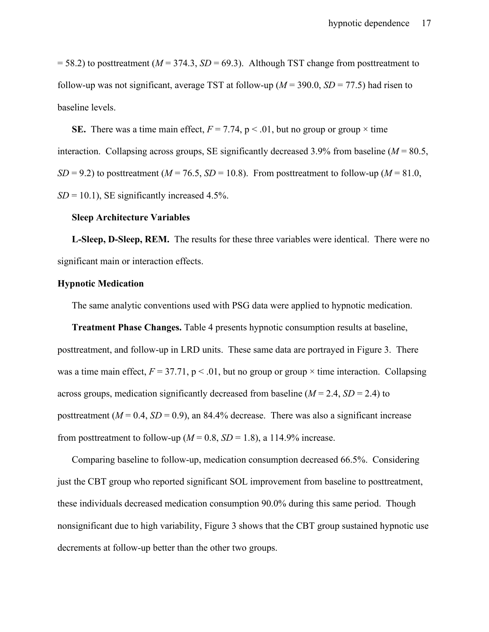$=$  58.2) to posttreatment ( $M = 374.3$ ,  $SD = 69.3$ ). Although TST change from posttreatment to follow-up was not significant, average TST at follow-up (*M* = 390.0, *SD* = 77.5) had risen to baseline levels.

**SE.** There was a time main effect,  $F = 7.74$ ,  $p < .01$ , but no group or group  $\times$  time interaction. Collapsing across groups, SE significantly decreased 3.9% from baseline  $(M = 80.5$ , *SD* = 9.2) to posttreatment ( $M = 76.5$ , *SD* = 10.8). From posttreatment to follow-up ( $M = 81.0$ ,  $SD = 10.1$ , SE significantly increased 4.5%.

#### **Sleep Architecture Variables**

**L-Sleep, D-Sleep, REM.** The results for these three variables were identical. There were no significant main or interaction effects.

#### **Hypnotic Medication**

The same analytic conventions used with PSG data were applied to hypnotic medication.

**Treatment Phase Changes.** Table 4 presents hypnotic consumption results at baseline, posttreatment, and follow-up in LRD units. These same data are portrayed in Figure 3. There was a time main effect,  $F = 37.71$ ,  $p < .01$ , but no group or group  $\times$  time interaction. Collapsing across groups, medication significantly decreased from baseline  $(M = 2.4, SD = 2.4)$  to posttreatment  $(M = 0.4, SD = 0.9)$ , an 84.4% decrease. There was also a significant increase from posttreatment to follow-up ( $M = 0.8$ ,  $SD = 1.8$ ), a 114.9% increase.

Comparing baseline to follow-up, medication consumption decreased 66.5%. Considering just the CBT group who reported significant SOL improvement from baseline to posttreatment, these individuals decreased medication consumption 90.0% during this same period. Though nonsignificant due to high variability, Figure 3 shows that the CBT group sustained hypnotic use decrements at follow-up better than the other two groups.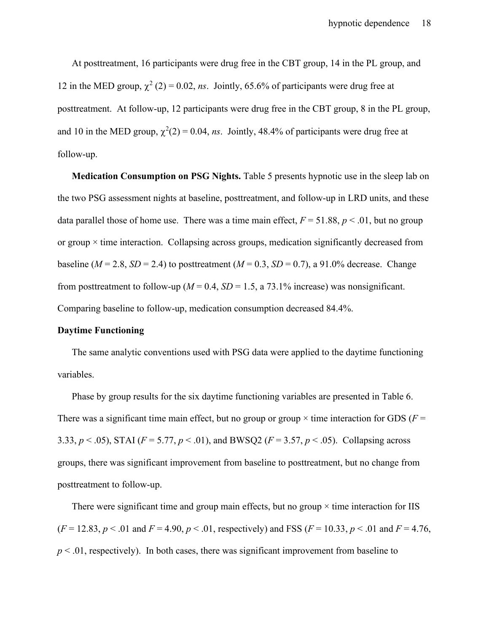At posttreatment, 16 participants were drug free in the CBT group, 14 in the PL group, and 12 in the MED group,  $\chi^2$  (2) = 0.02, *ns*. Jointly, 65.6% of participants were drug free at posttreatment. At follow-up, 12 participants were drug free in the CBT group, 8 in the PL group, and 10 in the MED group,  $\chi^2(2) = 0.04$ , *ns*. Jointly, 48.4% of participants were drug free at follow-up.

**Medication Consumption on PSG Nights.** Table 5 presents hypnotic use in the sleep lab on the two PSG assessment nights at baseline, posttreatment, and follow-up in LRD units, and these data parallel those of home use. There was a time main effect,  $F = 51.88$ ,  $p < .01$ , but no group or group  $\times$  time interaction. Collapsing across groups, medication significantly decreased from baseline ( $M = 2.8$ ,  $SD = 2.4$ ) to posttreatment ( $M = 0.3$ ,  $SD = 0.7$ ), a 91.0% decrease. Change from posttreatment to follow-up ( $M = 0.4$ ,  $SD = 1.5$ , a 73.1% increase) was nonsignificant. Comparing baseline to follow-up, medication consumption decreased 84.4%.

#### **Daytime Functioning**

The same analytic conventions used with PSG data were applied to the daytime functioning variables.

Phase by group results for the six daytime functioning variables are presented in Table 6. There was a significant time main effect, but no group or group  $\times$  time interaction for GDS ( $F =$ 3.33,  $p < .05$ ), STAI ( $F = 5.77$ ,  $p < .01$ ), and BWSQ2 ( $F = 3.57$ ,  $p < .05$ ). Collapsing across groups, there was significant improvement from baseline to posttreatment, but no change from posttreatment to follow-up.

There were significant time and group main effects, but no group  $\times$  time interaction for IIS  $(F = 12.83, p \le 0.01$  and  $F = 4.90, p \le 0.01$ , respectively) and FSS ( $F = 10.33, p \le 0.01$  and  $F = 4.76$ , *p* < .01, respectively). In both cases, there was significant improvement from baseline to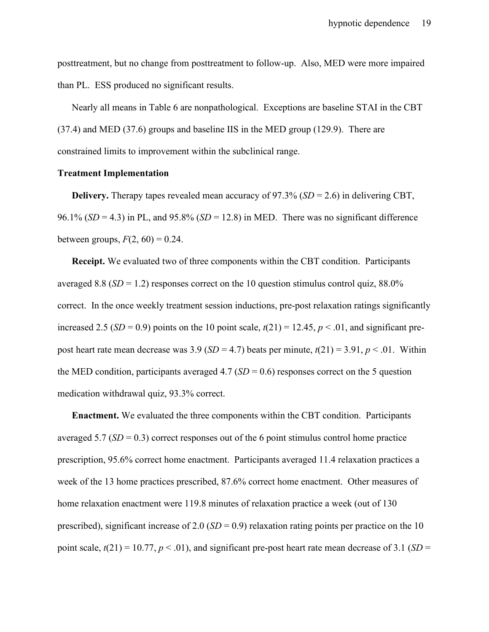posttreatment, but no change from posttreatment to follow-up. Also, MED were more impaired than PL. ESS produced no significant results.

Nearly all means in Table 6 are nonpathological. Exceptions are baseline STAI in the CBT (37.4) and MED (37.6) groups and baseline IIS in the MED group (129.9). There are constrained limits to improvement within the subclinical range.

#### **Treatment Implementation**

**Delivery.** Therapy tapes revealed mean accuracy of 97.3% (*SD* = 2.6) in delivering CBT, 96.1% ( $SD = 4.3$ ) in PL, and 95.8% ( $SD = 12.8$ ) in MED. There was no significant difference between groups,  $F(2, 60) = 0.24$ .

**Receipt.** We evaluated two of three components within the CBT condition. Participants averaged 8.8  $(SD = 1.2)$  responses correct on the 10 question stimulus control quiz, 88.0% correct. In the once weekly treatment session inductions, pre-post relaxation ratings significantly increased 2.5 (*SD* = 0.9) points on the 10 point scale,  $t(21) = 12.45$ ,  $p < .01$ , and significant prepost heart rate mean decrease was 3.9 ( $SD = 4.7$ ) beats per minute,  $t(21) = 3.91$ ,  $p < .01$ . Within the MED condition, participants averaged  $4.7$  (*SD* = 0.6) responses correct on the 5 question medication withdrawal quiz, 93.3% correct.

**Enactment.** We evaluated the three components within the CBT condition. Participants averaged 5.7  $(SD = 0.3)$  correct responses out of the 6 point stimulus control home practice prescription, 95.6% correct home enactment. Participants averaged 11.4 relaxation practices a week of the 13 home practices prescribed, 87.6% correct home enactment. Other measures of home relaxation enactment were 119.8 minutes of relaxation practice a week (out of 130 prescribed), significant increase of 2.0 ( $SD = 0.9$ ) relaxation rating points per practice on the 10 point scale,  $t(21) = 10.77$ ,  $p < .01$ ), and significant pre-post heart rate mean decrease of 3.1 (*SD* =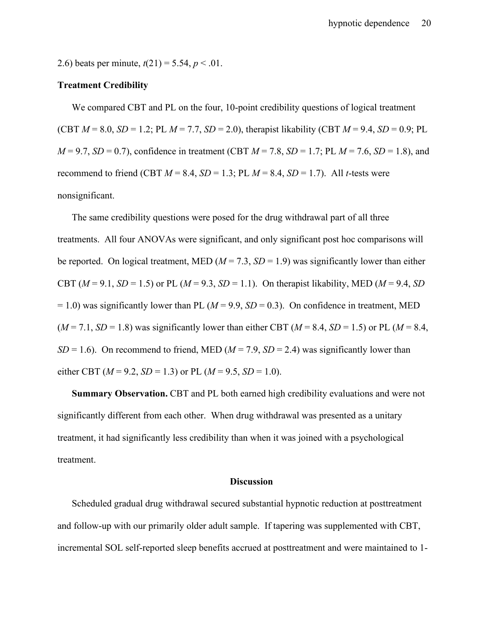2.6) beats per minute,  $t(21) = 5.54$ ,  $p < .01$ .

#### **Treatment Credibility**

We compared CBT and PL on the four, 10-point credibility questions of logical treatment (CBT  $M = 8.0$ ,  $SD = 1.2$ ; PL  $M = 7.7$ ,  $SD = 2.0$ ), therapist likability (CBT  $M = 9.4$ ,  $SD = 0.9$ ; PL  $M = 9.7$ ,  $SD = 0.7$ ), confidence in treatment (CBT  $M = 7.8$ ,  $SD = 1.7$ ; PL  $M = 7.6$ ,  $SD = 1.8$ ), and recommend to friend (CBT  $M = 8.4$ ,  $SD = 1.3$ ; PL  $M = 8.4$ ,  $SD = 1.7$ ). All *t*-tests were nonsignificant.

The same credibility questions were posed for the drug withdrawal part of all three treatments. All four ANOVAs were significant, and only significant post hoc comparisons will be reported. On logical treatment, MED  $(M = 7.3, SD = 1.9)$  was significantly lower than either CBT ( $M = 9.1$ ,  $SD = 1.5$ ) or PL ( $M = 9.3$ ,  $SD = 1.1$ ). On therapist likability, MED ( $M = 9.4$ , SD)  $= 1.0$ ) was significantly lower than PL ( $M = 9.9$ ,  $SD = 0.3$ ). On confidence in treatment, MED  $(M = 7.1, SD = 1.8)$  was significantly lower than either CBT  $(M = 8.4, SD = 1.5)$  or PL  $(M = 8.4,$ *SD* = 1.6). On recommend to friend, MED ( $M = 7.9$ , *SD* = 2.4) was significantly lower than either CBT ( $M = 9.2$ ,  $SD = 1.3$ ) or PL ( $M = 9.5$ ,  $SD = 1.0$ ).

**Summary Observation.** CBT and PL both earned high credibility evaluations and were not significantly different from each other. When drug withdrawal was presented as a unitary treatment, it had significantly less credibility than when it was joined with a psychological treatment.

#### **Discussion**

Scheduled gradual drug withdrawal secured substantial hypnotic reduction at posttreatment and follow-up with our primarily older adult sample. If tapering was supplemented with CBT, incremental SOL self-reported sleep benefits accrued at posttreatment and were maintained to 1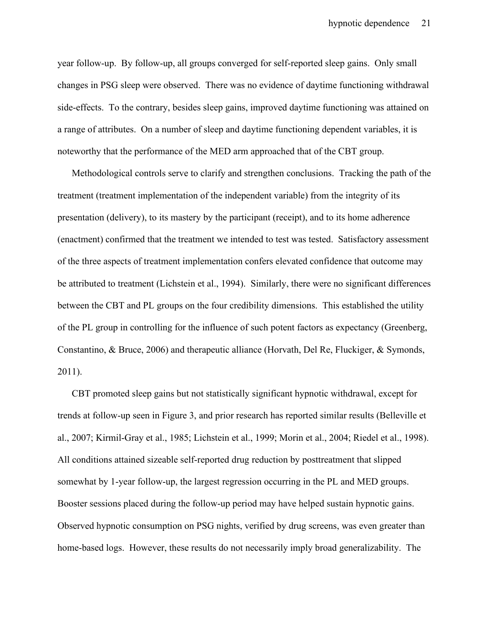year follow-up. By follow-up, all groups converged for self-reported sleep gains. Only small changes in PSG sleep were observed. There was no evidence of daytime functioning withdrawal side-effects. To the contrary, besides sleep gains, improved daytime functioning was attained on a range of attributes. On a number of sleep and daytime functioning dependent variables, it is noteworthy that the performance of the MED arm approached that of the CBT group.

Methodological controls serve to clarify and strengthen conclusions. Tracking the path of the treatment (treatment implementation of the independent variable) from the integrity of its presentation (delivery), to its mastery by the participant (receipt), and to its home adherence (enactment) confirmed that the treatment we intended to test was tested. Satisfactory assessment of the three aspects of treatment implementation confers elevated confidence that outcome may be attributed to treatment (Lichstein et al., 1994). Similarly, there were no significant differences between the CBT and PL groups on the four credibility dimensions. This established the utility of the PL group in controlling for the influence of such potent factors as expectancy (Greenberg, Constantino, & Bruce, 2006) and therapeutic alliance (Horvath, Del Re, Fluckiger, & Symonds, 2011).

CBT promoted sleep gains but not statistically significant hypnotic withdrawal, except for trends at follow-up seen in Figure 3, and prior research has reported similar results (Belleville et al., 2007; Kirmil-Gray et al., 1985; Lichstein et al., 1999; Morin et al., 2004; Riedel et al., 1998). All conditions attained sizeable self-reported drug reduction by posttreatment that slipped somewhat by 1-year follow-up, the largest regression occurring in the PL and MED groups. Booster sessions placed during the follow-up period may have helped sustain hypnotic gains. Observed hypnotic consumption on PSG nights, verified by drug screens, was even greater than home-based logs. However, these results do not necessarily imply broad generalizability. The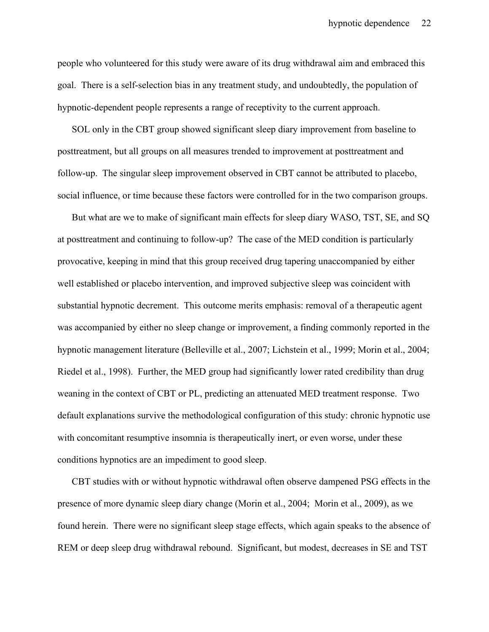people who volunteered for this study were aware of its drug withdrawal aim and embraced this goal. There is a self-selection bias in any treatment study, and undoubtedly, the population of hypnotic-dependent people represents a range of receptivity to the current approach.

SOL only in the CBT group showed significant sleep diary improvement from baseline to posttreatment, but all groups on all measures trended to improvement at posttreatment and follow-up. The singular sleep improvement observed in CBT cannot be attributed to placebo, social influence, or time because these factors were controlled for in the two comparison groups.

But what are we to make of significant main effects for sleep diary WASO, TST, SE, and SQ at posttreatment and continuing to follow-up? The case of the MED condition is particularly provocative, keeping in mind that this group received drug tapering unaccompanied by either well established or placebo intervention, and improved subjective sleep was coincident with substantial hypnotic decrement. This outcome merits emphasis: removal of a therapeutic agent was accompanied by either no sleep change or improvement, a finding commonly reported in the hypnotic management literature (Belleville et al., 2007; Lichstein et al., 1999; Morin et al., 2004; Riedel et al., 1998). Further, the MED group had significantly lower rated credibility than drug weaning in the context of CBT or PL, predicting an attenuated MED treatment response. Two default explanations survive the methodological configuration of this study: chronic hypnotic use with concomitant resumptive insomnia is therapeutically inert, or even worse, under these conditions hypnotics are an impediment to good sleep.

CBT studies with or without hypnotic withdrawal often observe dampened PSG effects in the presence of more dynamic sleep diary change (Morin et al., 2004; Morin et al., 2009), as we found herein. There were no significant sleep stage effects, which again speaks to the absence of REM or deep sleep drug withdrawal rebound. Significant, but modest, decreases in SE and TST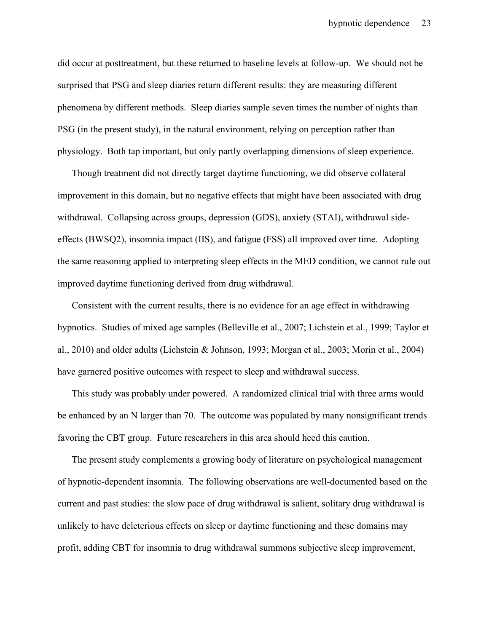did occur at posttreatment, but these returned to baseline levels at follow-up. We should not be surprised that PSG and sleep diaries return different results: they are measuring different phenomena by different methods. Sleep diaries sample seven times the number of nights than PSG (in the present study), in the natural environment, relying on perception rather than physiology. Both tap important, but only partly overlapping dimensions of sleep experience.

Though treatment did not directly target daytime functioning, we did observe collateral improvement in this domain, but no negative effects that might have been associated with drug withdrawal. Collapsing across groups, depression (GDS), anxiety (STAI), withdrawal sideeffects (BWSQ2), insomnia impact (IIS), and fatigue (FSS) all improved over time. Adopting the same reasoning applied to interpreting sleep effects in the MED condition, we cannot rule out improved daytime functioning derived from drug withdrawal.

Consistent with the current results, there is no evidence for an age effect in withdrawing hypnotics. Studies of mixed age samples (Belleville et al., 2007; Lichstein et al., 1999; Taylor et al., 2010) and older adults (Lichstein & Johnson, 1993; Morgan et al., 2003; Morin et al., 2004) have garnered positive outcomes with respect to sleep and withdrawal success.

This study was probably under powered. A randomized clinical trial with three arms would be enhanced by an N larger than 70. The outcome was populated by many nonsignificant trends favoring the CBT group. Future researchers in this area should heed this caution.

The present study complements a growing body of literature on psychological management of hypnotic-dependent insomnia. The following observations are well-documented based on the current and past studies: the slow pace of drug withdrawal is salient, solitary drug withdrawal is unlikely to have deleterious effects on sleep or daytime functioning and these domains may profit, adding CBT for insomnia to drug withdrawal summons subjective sleep improvement,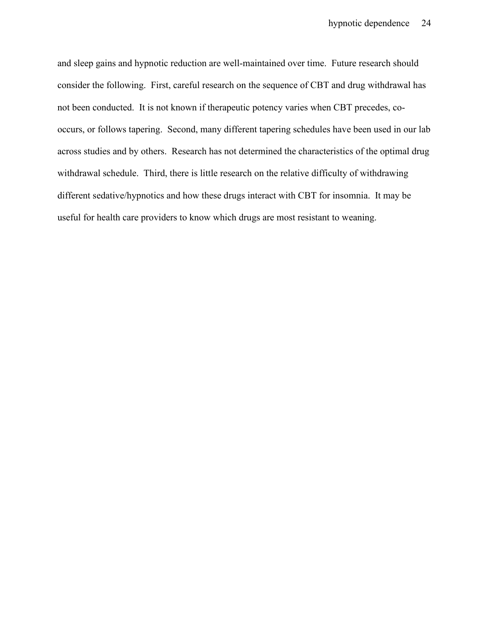and sleep gains and hypnotic reduction are well-maintained over time. Future research should consider the following. First, careful research on the sequence of CBT and drug withdrawal has not been conducted. It is not known if therapeutic potency varies when CBT precedes, cooccurs, or follows tapering. Second, many different tapering schedules have been used in our lab across studies and by others. Research has not determined the characteristics of the optimal drug withdrawal schedule. Third, there is little research on the relative difficulty of withdrawing different sedative/hypnotics and how these drugs interact with CBT for insomnia. It may be useful for health care providers to know which drugs are most resistant to weaning.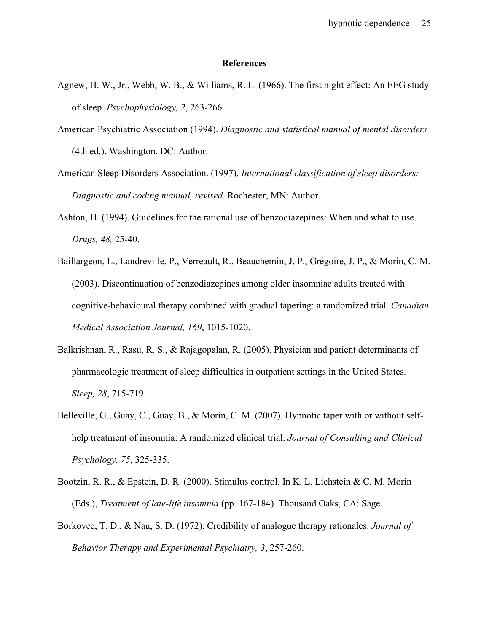#### **References**

- Agnew, H. W., Jr., Webb, W. B., & Williams, R. L. (1966). The first night effect: An EEG study of sleep. *Psychophysiology, 2*, 263-266.
- American Psychiatric Association (1994). *Diagnostic and statistical manual of mental disorders* (4th ed.). Washington, DC: Author.
- American Sleep Disorders Association. (1997). *International classification of sleep disorders: Diagnostic and coding manual, revised*. Rochester, MN: Author.
- Ashton, H. (1994). Guidelines for the rational use of benzodiazepines: When and what to use. *Drugs, 48,* 25-40.
- Baillargeon, L., Landreville, P., Verreault, R., Beauchemin, J. P., Grégoire, J. P., & Morin, C. M. (2003). Discontinuation of benzodiazepines among older insomniac adults treated with cognitive-behavioural therapy combined with gradual tapering: a randomized trial. *Canadian Medical Association Journal, 169*, 1015-1020.
- Balkrishnan, R., Rasu, R. S., & Rajagopalan, R. (2005). Physician and patient determinants of pharmacologic treatment of sleep difficulties in outpatient settings in the United States. *Sleep, 28*, 715-719.
- Belleville, G., Guay, C., Guay, B., & Morin, C. M. (2007). Hypnotic taper with or without selfhelp treatment of insomnia: A randomized clinical trial. *Journal of Consulting and Clinical Psychology, 75*, 325-335.
- Bootzin, R. R., & Epstein, D. R. (2000). Stimulus control. In K. L. Lichstein & C. M. Morin (Eds.), *Treatment of late-life insomnia* (pp. 167-184). Thousand Oaks, CA: Sage.
- Borkovec, T. D., & Nau, S. D. (1972). Credibility of analogue therapy rationales. *Journal of Behavior Therapy and Experimental Psychiatry, 3*, 257-260.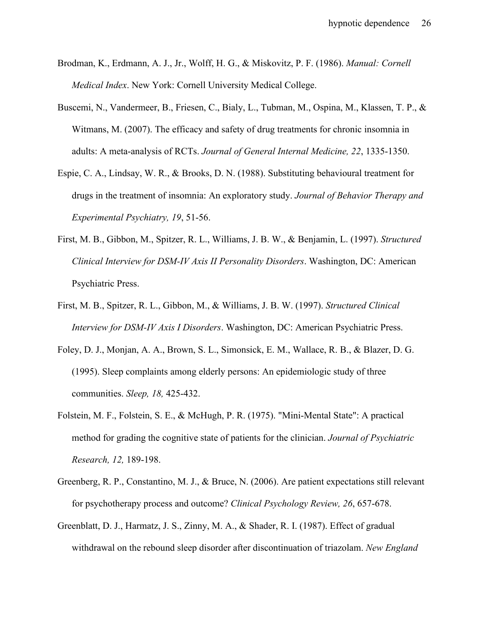- Brodman, K., Erdmann, A. J., Jr., Wolff, H. G., & Miskovitz, P. F. (1986). *Manual: Cornell Medical Index*. New York: Cornell University Medical College.
- Buscemi, N., Vandermeer, B., Friesen, C., Bialy, L., Tubman, M., Ospina, M., Klassen, T. P., & Witmans, M. (2007). The efficacy and safety of drug treatments for chronic insomnia in adults: A meta-analysis of RCTs. *Journal of General Internal Medicine, 22*, 1335-1350.
- Espie, C. A., Lindsay, W. R., & Brooks, D. N. (1988). Substituting behavioural treatment for drugs in the treatment of insomnia: An exploratory study. *Journal of Behavior Therapy and Experimental Psychiatry, 19*, 51-56.
- First, M. B., Gibbon, M., Spitzer, R. L., Williams, J. B. W., & Benjamin, L. (1997). *Structured Clinical Interview for DSM-IV Axis II Personality Disorders*. Washington, DC: American Psychiatric Press.
- First, M. B., Spitzer, R. L., Gibbon, M., & Williams, J. B. W. (1997). *Structured Clinical Interview for DSM-IV Axis I Disorders*. Washington, DC: American Psychiatric Press.
- Foley, D. J., Monjan, A. A., Brown, S. L., Simonsick, E. M., Wallace, R. B., & Blazer, D. G. (1995). Sleep complaints among elderly persons: An epidemiologic study of three communities. *Sleep, 18,* 425-432.
- Folstein, M. F., Folstein, S. E., & McHugh, P. R. (1975). "Mini-Mental State": A practical method for grading the cognitive state of patients for the clinician. *Journal of Psychiatric Research, 12,* 189-198.
- Greenberg, R. P., Constantino, M. J., & Bruce, N. (2006). Are patient expectations still relevant for psychotherapy process and outcome? *Clinical Psychology Review, 26*, 657-678.
- Greenblatt, D. J., Harmatz, J. S., Zinny, M. A., & Shader, R. I. (1987). Effect of gradual withdrawal on the rebound sleep disorder after discontinuation of triazolam. *New England*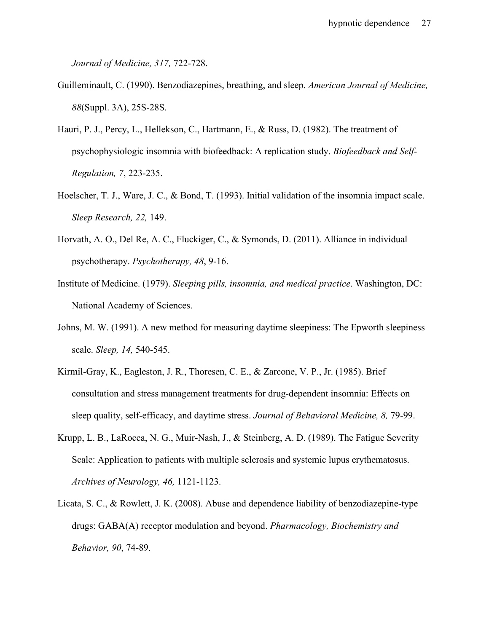*Journal of Medicine, 317,* 722-728.

- Guilleminault, C. (1990). Benzodiazepines, breathing, and sleep. *American Journal of Medicine, 88*(Suppl. 3A), 25S-28S.
- Hauri, P. J., Percy, L., Hellekson, C., Hartmann, E., & Russ, D. (1982). The treatment of psychophysiologic insomnia with biofeedback: A replication study. *Biofeedback and Self-Regulation, 7*, 223-235.
- Hoelscher, T. J., Ware, J. C., & Bond, T. (1993). Initial validation of the insomnia impact scale. *Sleep Research, 22,* 149.
- Horvath, A. O., Del Re, A. C., Fluckiger, C., & Symonds, D. (2011). Alliance in individual psychotherapy. *Psychotherapy, 48*, 9-16.
- Institute of Medicine. (1979). *Sleeping pills, insomnia, and medical practice*. Washington, DC: National Academy of Sciences.
- Johns, M. W. (1991). A new method for measuring daytime sleepiness: The Epworth sleepiness scale. *Sleep, 14,* 540-545.
- Kirmil-Gray, K., Eagleston, J. R., Thoresen, C. E., & Zarcone, V. P., Jr. (1985). Brief consultation and stress management treatments for drug-dependent insomnia: Effects on sleep quality, self-efficacy, and daytime stress. *Journal of Behavioral Medicine, 8,* 79-99.
- Krupp, L. B., LaRocca, N. G., Muir-Nash, J., & Steinberg, A. D. (1989). The Fatigue Severity Scale: Application to patients with multiple sclerosis and systemic lupus erythematosus. *Archives of Neurology, 46,* 1121-1123.
- Licata, S. C., & Rowlett, J. K. (2008). Abuse and dependence liability of benzodiazepine-type drugs: GABA(A) receptor modulation and beyond. *Pharmacology, Biochemistry and Behavior, 90*, 74-89.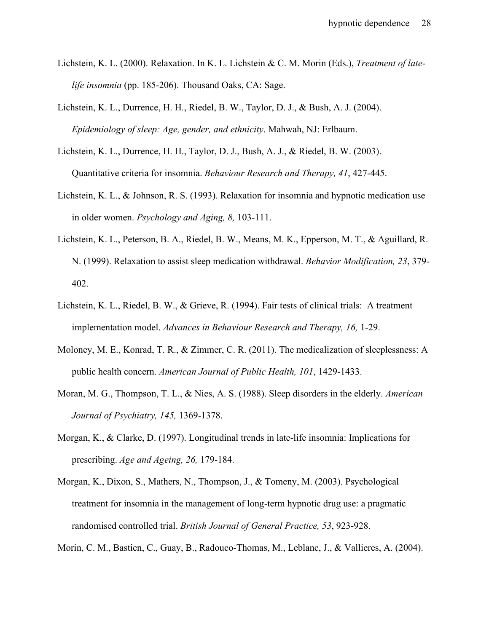- Lichstein, K. L. (2000). Relaxation. In K. L. Lichstein & C. M. Morin (Eds.), *Treatment of latelife insomnia* (pp. 185-206). Thousand Oaks, CA: Sage.
- Lichstein, K. L., Durrence, H. H., Riedel, B. W., Taylor, D. J., & Bush, A. J. (2004). *Epidemiology of sleep: Age, gender, and ethnicity*. Mahwah, NJ: Erlbaum.
- Lichstein, K. L., Durrence, H. H., Taylor, D. J., Bush, A. J., & Riedel, B. W. (2003). Quantitative criteria for insomnia. *Behaviour Research and Therapy, 41*, 427-445.
- Lichstein, K. L., & Johnson, R. S. (1993). Relaxation for insomnia and hypnotic medication use in older women. *Psychology and Aging, 8,* 103-111.
- Lichstein, K. L., Peterson, B. A., Riedel, B. W., Means, M. K., Epperson, M. T., & Aguillard, R. N. (1999). Relaxation to assist sleep medication withdrawal. *Behavior Modification, 23*, 379- 402.
- Lichstein, K. L., Riedel, B. W., & Grieve, R. (1994). Fair tests of clinical trials: A treatment implementation model. *Advances in Behaviour Research and Therapy, 16,* 1-29.
- Moloney, M. E., Konrad, T. R., & Zimmer, C. R. (2011). The medicalization of sleeplessness: A public health concern. *American Journal of Public Health, 101*, 1429-1433.
- Moran, M. G., Thompson, T. L., & Nies, A. S. (1988). Sleep disorders in the elderly. *American Journal of Psychiatry, 145,* 1369-1378.
- Morgan, K., & Clarke, D. (1997). Longitudinal trends in late-life insomnia: Implications for prescribing. *Age and Ageing, 26,* 179-184.
- Morgan, K., Dixon, S., Mathers, N., Thompson, J., & Tomeny, M. (2003). Psychological treatment for insomnia in the management of long-term hypnotic drug use: a pragmatic randomised controlled trial. *British Journal of General Practice, 53*, 923-928.

Morin, C. M., Bastien, C., Guay, B., Radouco-Thomas, M., Leblanc, J., & Vallieres, A. (2004).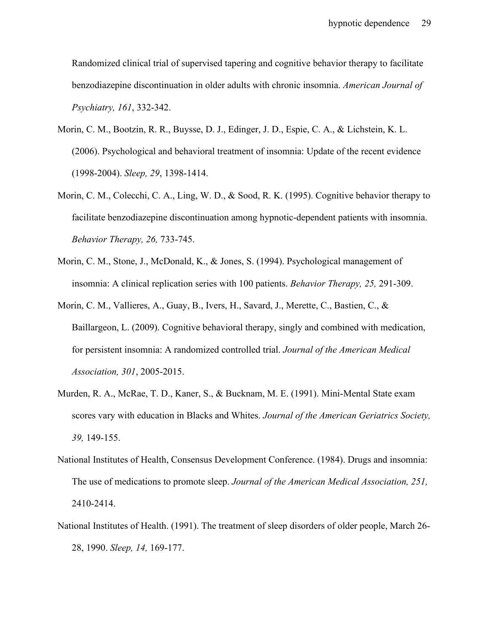Randomized clinical trial of supervised tapering and cognitive behavior therapy to facilitate benzodiazepine discontinuation in older adults with chronic insomnia. *American Journal of Psychiatry, 161*, 332-342.

- Morin, C. M., Bootzin, R. R., Buysse, D. J., Edinger, J. D., Espie, C. A., & Lichstein, K. L. (2006). Psychological and behavioral treatment of insomnia: Update of the recent evidence (1998-2004). *Sleep, 29*, 1398-1414.
- Morin, C. M., Colecchi, C. A., Ling, W. D., & Sood, R. K. (1995). Cognitive behavior therapy to facilitate benzodiazepine discontinuation among hypnotic-dependent patients with insomnia. *Behavior Therapy, 26,* 733-745.
- Morin, C. M., Stone, J., McDonald, K., & Jones, S. (1994). Psychological management of insomnia: A clinical replication series with 100 patients. *Behavior Therapy, 25,* 291-309.
- Morin, C. M., Vallieres, A., Guay, B., Ivers, H., Savard, J., Merette, C., Bastien, C., & Baillargeon, L. (2009). Cognitive behavioral therapy, singly and combined with medication, for persistent insomnia: A randomized controlled trial. *Journal of the American Medical Association, 301*, 2005-2015.
- Murden, R. A., McRae, T. D., Kaner, S., & Bucknam, M. E. (1991). Mini-Mental State exam scores vary with education in Blacks and Whites. *Journal of the American Geriatrics Society, 39,* 149-155.
- National Institutes of Health, Consensus Development Conference. (1984). Drugs and insomnia: The use of medications to promote sleep. *Journal of the American Medical Association, 251,* 2410-2414.
- National Institutes of Health. (1991). The treatment of sleep disorders of older people, March 26- 28, 1990. *Sleep, 14,* 169-177.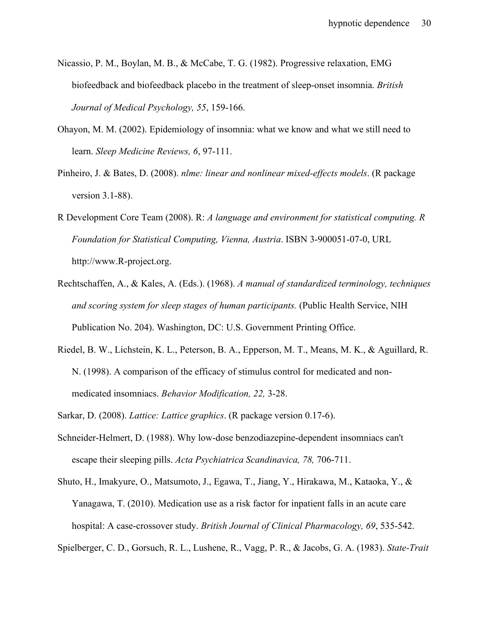- Nicassio, P. M., Boylan, M. B., & McCabe, T. G. (1982). Progressive relaxation, EMG biofeedback and biofeedback placebo in the treatment of sleep-onset insomnia. *British Journal of Medical Psychology, 55*, 159-166.
- Ohayon, M. M. (2002). Epidemiology of insomnia: what we know and what we still need to learn. *Sleep Medicine Reviews, 6*, 97-111.
- Pinheiro, J. & Bates, D. (2008). *nlme: linear and nonlinear mixed-effects models*. (R package version 3.1-88).
- R Development Core Team (2008). R: *A language and environment for statistical computing. R Foundation for Statistical Computing, Vienna, Austria*. ISBN 3-900051-07-0, URL http://www.R-project.org.
- Rechtschaffen, A., & Kales, A. (Eds.). (1968). *A manual of standardized terminology, techniques and scoring system for sleep stages of human participants.* (Public Health Service, NIH Publication No. 204). Washington, DC: U.S. Government Printing Office.
- Riedel, B. W., Lichstein, K. L., Peterson, B. A., Epperson, M. T., Means, M. K., & Aguillard, R. N. (1998). A comparison of the efficacy of stimulus control for medicated and nonmedicated insomniacs. *Behavior Modification, 22,* 3-28.
- Sarkar, D. (2008). *Lattice: Lattice graphics*. (R package version 0.17-6).
- Schneider-Helmert, D. (1988). Why low-dose benzodiazepine-dependent insomniacs can't escape their sleeping pills. *Acta Psychiatrica Scandinavica, 78,* 706-711.
- Shuto, H., Imakyure, O., Matsumoto, J., Egawa, T., Jiang, Y., Hirakawa, M., Kataoka, Y., & Yanagawa, T. (2010). Medication use as a risk factor for inpatient falls in an acute care hospital: A case-crossover study. *British Journal of Clinical Pharmacology, 69*, 535-542.

Spielberger, C. D., Gorsuch, R. L., Lushene, R., Vagg, P. R., & Jacobs, G. A. (1983). *State-Trait*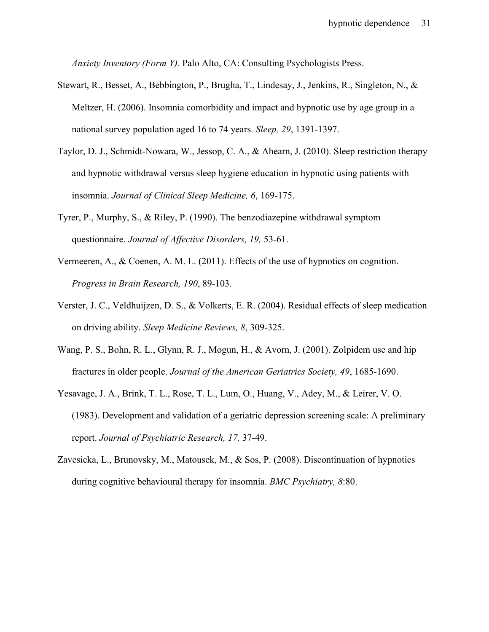*Anxiety Inventory (Form Y).* Palo Alto, CA: Consulting Psychologists Press.

- Stewart, R., Besset, A., Bebbington, P., Brugha, T., Lindesay, J., Jenkins, R., Singleton, N., & Meltzer, H. (2006). Insomnia comorbidity and impact and hypnotic use by age group in a national survey population aged 16 to 74 years. *Sleep, 29*, 1391-1397.
- Taylor, D. J., Schmidt-Nowara, W., Jessop, C. A., & Ahearn, J. (2010). Sleep restriction therapy and hypnotic withdrawal versus sleep hygiene education in hypnotic using patients with insomnia. *Journal of Clinical Sleep Medicine, 6*, 169-175.
- Tyrer, P., Murphy, S., & Riley, P. (1990). The benzodiazepine withdrawal symptom questionnaire. *Journal of Affective Disorders, 19,* 53-61.
- Vermeeren, A., & Coenen, A. M. L. (2011). Effects of the use of hypnotics on cognition. *Progress in Brain Research, 190*, 89-103.
- Verster, J. C., Veldhuijzen, D. S., & Volkerts, E. R. (2004). Residual effects of sleep medication on driving ability. *Sleep Medicine Reviews, 8*, 309-325.
- Wang, P. S., Bohn, R. L., Glynn, R. J., Mogun, H., & Avorn, J. (2001). Zolpidem use and hip fractures in older people. *Journal of the American Geriatrics Society, 49*, 1685-1690.
- Yesavage, J. A., Brink, T. L., Rose, T. L., Lum, O., Huang, V., Adey, M., & Leirer, V. O. (1983). Development and validation of a geriatric depression screening scale: A preliminary report. *Journal of Psychiatric Research, 17,* 37-49.
- Zavesicka, L., Brunovsky, M., Matousek, M., & Sos, P. (2008). Discontinuation of hypnotics during cognitive behavioural therapy for insomnia. *BMC Psychiatry, 8*:80.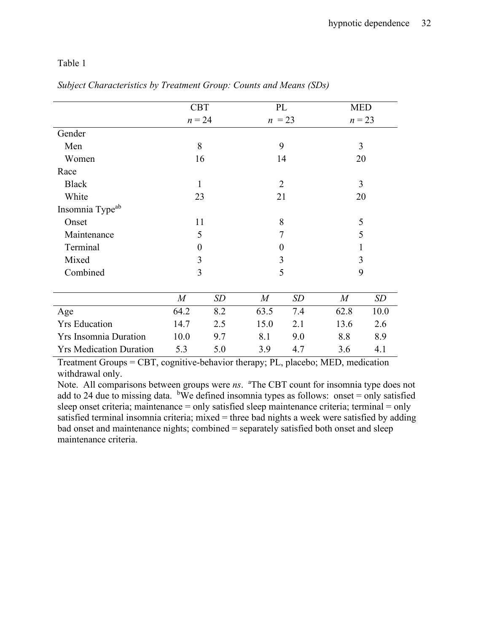|                                | <b>CBT</b>       |           |                  | PL  |                  | <b>MED</b> |
|--------------------------------|------------------|-----------|------------------|-----|------------------|------------|
|                                | $n = 24$         |           | $n = 23$         |     | $n = 23$         |            |
| Gender                         |                  |           |                  |     |                  |            |
| Men                            | 8                |           | 9                |     | 3                |            |
| Women                          | 16               |           | 14               |     | 20               |            |
| Race                           |                  |           |                  |     |                  |            |
| <b>Black</b>                   | 1                |           | $\overline{2}$   |     | 3                |            |
| White                          | 23               |           | 21               |     | 20               |            |
| Insomnia Type <sup>ab</sup>    |                  |           |                  |     |                  |            |
| Onset                          | 11               |           | 8                |     | 5                |            |
| Maintenance                    | 5                |           | 7                |     | 5                |            |
| Terminal                       | $\theta$         |           | $\overline{0}$   |     | 1                |            |
| Mixed                          | 3                |           | 3                |     | 3                |            |
| Combined                       | 3                |           | 5                |     | 9                |            |
|                                |                  |           |                  |     |                  |            |
|                                | $\boldsymbol{M}$ | <b>SD</b> | $\boldsymbol{M}$ | SD  | $\boldsymbol{M}$ | <b>SD</b>  |
| Age                            | 64.2             | 8.2       | 63.5             | 7.4 | 62.8             | 10.0       |
| <b>Yrs Education</b>           | 14.7             | 2.5       | 15.0             | 2.1 | 13.6             | 2.6        |
| <b>Yrs Insomnia Duration</b>   | 10.0<br>9.7      |           | 8.1              | 9.0 | 8.8              | 8.9        |
| <b>Yrs Medication Duration</b> | 5.3<br>5.0       |           | 3.9              | 4.7 | 3.6              | 4.1        |

*Subject Characteristics by Treatment Group: Counts and Means (SDs)*

Treatment Groups = CBT, cognitive-behavior therapy; PL, placebo; MED, medication withdrawal only.

Note. All comparisons between groups were *ns*. <sup>a</sup>The CBT count for insomnia type does not add to 24 due to missing data. <sup>b</sup>We defined insomnia types as follows: onset = only satisfied sleep onset criteria; maintenance = only satisfied sleep maintenance criteria; terminal = only satisfied terminal insomnia criteria; mixed  $=$  three bad nights a week were satisfied by adding bad onset and maintenance nights; combined = separately satisfied both onset and sleep maintenance criteria.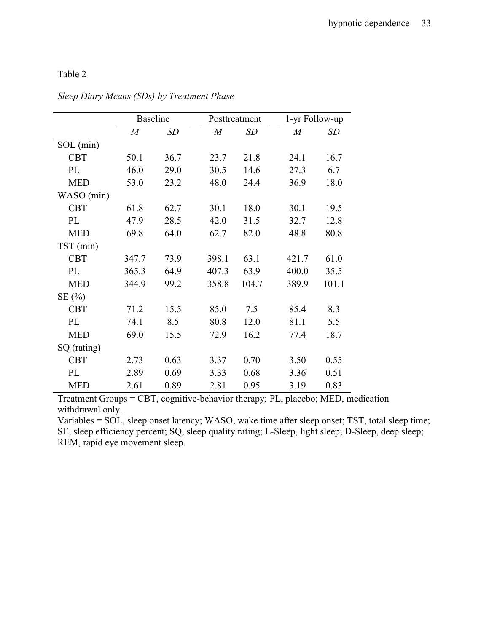|             | <b>Baseline</b>  |      | Posttreatment    |           | 1-yr Follow-up |           |
|-------------|------------------|------|------------------|-----------|----------------|-----------|
|             | $\boldsymbol{M}$ | SD   | $\boldsymbol{M}$ | <b>SD</b> | $\overline{M}$ | <b>SD</b> |
| SOL (min)   |                  |      |                  |           |                |           |
| <b>CBT</b>  | 50.1             | 36.7 | 23.7             | 21.8      | 24.1           | 16.7      |
| PL          | 46.0             | 29.0 | 30.5             | 14.6      | 27.3           | 6.7       |
| <b>MED</b>  | 53.0             | 23.2 | 48.0             | 24.4      | 36.9           | 18.0      |
| WASO (min)  |                  |      |                  |           |                |           |
| <b>CBT</b>  | 61.8             | 62.7 | 30.1             | 18.0      | 30.1           | 19.5      |
| PL          | 47.9             | 28.5 | 42.0             | 31.5      | 32.7           | 12.8      |
| <b>MED</b>  | 69.8             | 64.0 | 62.7             | 82.0      | 48.8           | 80.8      |
| TST (min)   |                  |      |                  |           |                |           |
| <b>CBT</b>  | 347.7            | 73.9 | 398.1            | 63.1      | 421.7          | 61.0      |
| PL          | 365.3            | 64.9 | 407.3            | 63.9      | 400.0          | 35.5      |
| <b>MED</b>  | 344.9            | 99.2 | 358.8            | 104.7     | 389.9          | 101.1     |
| SE(%)       |                  |      |                  |           |                |           |
| <b>CBT</b>  | 71.2             | 15.5 | 85.0             | 7.5       | 85.4           | 8.3       |
| PL          | 74.1             | 8.5  | 80.8             | 12.0      | 81.1           | 5.5       |
| <b>MED</b>  | 69.0             | 15.5 | 72.9             | 16.2      | 77.4           | 18.7      |
| SQ (rating) |                  |      |                  |           |                |           |
| <b>CBT</b>  | 2.73             | 0.63 | 3.37             | 0.70      | 3.50           | 0.55      |
| PL          | 2.89             | 0.69 | 3.33             | 0.68      | 3.36           | 0.51      |
| <b>MED</b>  | 2.61             | 0.89 | 2.81             | 0.95      | 3.19           | 0.83      |

*Sleep Diary Means (SDs) by Treatment Phase*

Treatment Groups = CBT, cognitive-behavior therapy; PL, placebo; MED, medication withdrawal only.

Variables = SOL, sleep onset latency; WASO, wake time after sleep onset; TST, total sleep time; SE, sleep efficiency percent; SQ, sleep quality rating; L-Sleep, light sleep; D-Sleep, deep sleep; REM, rapid eye movement sleep.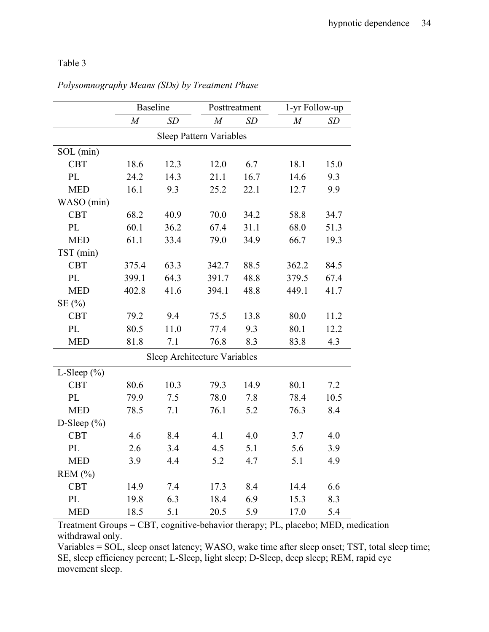|                         | <b>Baseline</b> |      | Posttreatment                |      | 1-yr Follow-up |      |  |  |
|-------------------------|-----------------|------|------------------------------|------|----------------|------|--|--|
|                         | M               | SD   | $\overline{M}$               | SD   | M              | SD   |  |  |
| Sleep Pattern Variables |                 |      |                              |      |                |      |  |  |
| SOL (min)               |                 |      |                              |      |                |      |  |  |
| <b>CBT</b>              | 18.6            | 12.3 | 12.0                         | 6.7  | 18.1           | 15.0 |  |  |
| $\mathbf{PL}$           | 24.2            | 14.3 | 21.1                         | 16.7 | 14.6           | 9.3  |  |  |
| <b>MED</b>              | 16.1            | 9.3  | 25.2                         | 22.1 | 12.7           | 9.9  |  |  |
| WASO (min)              |                 |      |                              |      |                |      |  |  |
| <b>CBT</b>              | 68.2            | 40.9 | 70.0                         | 34.2 | 58.8           | 34.7 |  |  |
| PL                      | 60.1            | 36.2 | 67.4                         | 31.1 | 68.0           | 51.3 |  |  |
| <b>MED</b>              | 61.1            | 33.4 | 79.0                         | 34.9 | 66.7           | 19.3 |  |  |
| TST (min)               |                 |      |                              |      |                |      |  |  |
| <b>CBT</b>              | 375.4           | 63.3 | 342.7                        | 88.5 | 362.2          | 84.5 |  |  |
| PL                      | 399.1           | 64.3 | 391.7                        | 48.8 | 379.5          | 67.4 |  |  |
| <b>MED</b>              | 402.8           | 41.6 | 394.1                        | 48.8 | 449.1          | 41.7 |  |  |
| SE (%)                  |                 |      |                              |      |                |      |  |  |
| <b>CBT</b>              | 79.2            | 9.4  | 75.5                         | 13.8 | 80.0           | 11.2 |  |  |
| <b>PL</b>               | 80.5            | 11.0 | 77.4                         | 9.3  | 80.1           | 12.2 |  |  |
| <b>MED</b>              | 81.8            | 7.1  | 76.8                         | 8.3  | 83.8           | 4.3  |  |  |
|                         |                 |      | Sleep Architecture Variables |      |                |      |  |  |
| L-Sleep (%)             |                 |      |                              |      |                |      |  |  |
| <b>CBT</b>              | 80.6            | 10.3 | 79.3                         | 14.9 | 80.1           | 7.2  |  |  |
| PL                      | 79.9            | 7.5  | 78.0                         | 7.8  | 78.4           | 10.5 |  |  |
| <b>MED</b>              | 78.5            | 7.1  | 76.1                         | 5.2  | 76.3           | 8.4  |  |  |
| D-Sleep $(\% )$         |                 |      |                              |      |                |      |  |  |
| <b>CBT</b>              | 4.6             | 8.4  | 4.1                          | 4.0  | 3.7            | 4.0  |  |  |
| $\mathbf{PL}$           | 2.6             | 3.4  | 4.5                          | 5.1  | 5.6            | 3.9  |  |  |
| <b>MED</b>              | 3.9             | 4.4  | 5.2                          | 4.7  | 5.1            | 4.9  |  |  |
| REM (%)                 |                 |      |                              |      |                |      |  |  |
| <b>CBT</b>              | 14.9            | 7.4  | 17.3                         | 8.4  | 14.4           | 6.6  |  |  |
| PL                      | 19.8            | 6.3  | 18.4                         | 6.9  | 15.3           | 8.3  |  |  |
| <b>MED</b>              | 18.5            | 5.1  | 20.5                         | 5.9  | 17.0           | 5.4  |  |  |

# *Polysomnography Means (SDs) by Treatment Phase*

Treatment Groups = CBT, cognitive-behavior therapy; PL, placebo; MED, medication withdrawal only.

Variables = SOL, sleep onset latency; WASO, wake time after sleep onset; TST, total sleep time; SE, sleep efficiency percent; L-Sleep, light sleep; D-Sleep, deep sleep; REM, rapid eye movement sleep.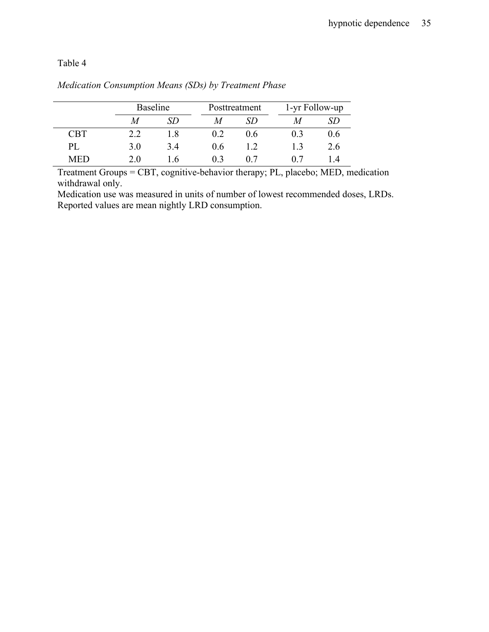|            |     | <b>Baseline</b> |     | Posttreatment | 1-yr Follow-up |     |
|------------|-----|-----------------|-----|---------------|----------------|-----|
|            | M   | SD.             |     | SD            |                | SD  |
| <b>CBT</b> | 2.2 | 1.8             | 0.2 | 0.6           | 0.3            | 0.6 |
| PL         | 3.0 | 3.4             | 0.6 | 1.2           | 1.3            | 2.6 |
| <b>MED</b> | 2.0 | 1.6             | 0.3 | 0.7           | 07             | 14  |

*Medication Consumption Means (SDs) by Treatment Phase*

Treatment Groups = CBT, cognitive-behavior therapy; PL, placebo; MED, medication withdrawal only.

Medication use was measured in units of number of lowest recommended doses, LRDs. Reported values are mean nightly LRD consumption.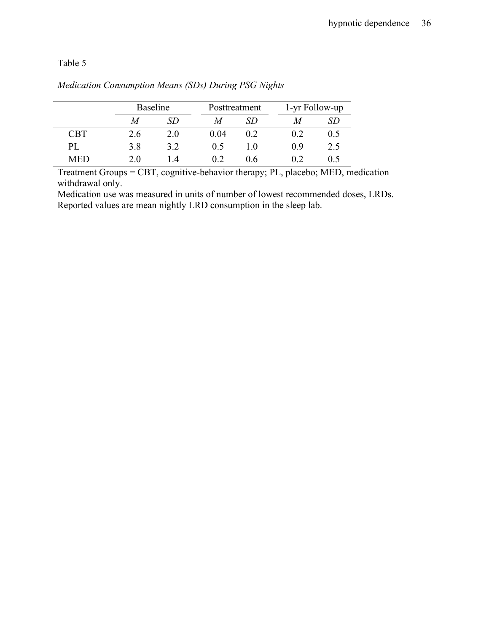|            |                  | <b>Baseline</b> |      | Posttreatment |     | 1-yr Follow-up |  |
|------------|------------------|-----------------|------|---------------|-----|----------------|--|
|            | $\boldsymbol{M}$ | SD              |      |               |     |                |  |
| <b>CBT</b> | 2.6              | 2.0             | 0.04 | 0.2           | 0.2 | 0.5            |  |
| PL         | 3.8              | 3.2             | 0.5  | 1.0           | 0.9 | 2.5            |  |
| <b>MED</b> | 2.0              | 14              | 0.2  | 0.6           | 02  | 0.5            |  |

*Medication Consumption Means (SDs) During PSG Nights*

Treatment Groups = CBT, cognitive-behavior therapy; PL, placebo; MED, medication withdrawal only.

Medication use was measured in units of number of lowest recommended doses, LRDs. Reported values are mean nightly LRD consumption in the sleep lab.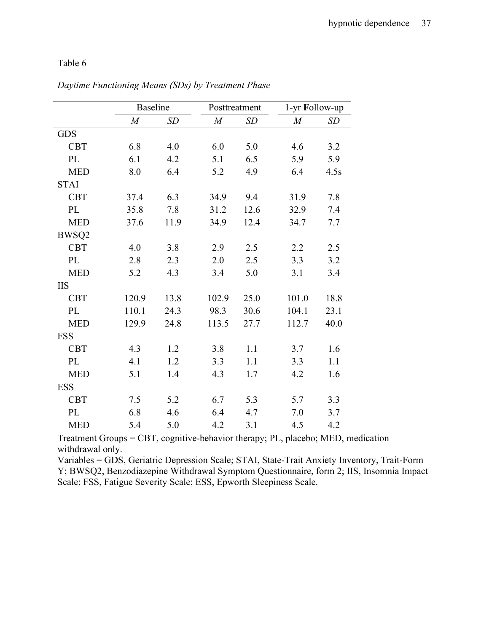|             |                | <b>Baseline</b> |                  | Posttreatment |       | 1-yr Follow-up |  |
|-------------|----------------|-----------------|------------------|---------------|-------|----------------|--|
|             | $\overline{M}$ | SD              | $\boldsymbol{M}$ | SD            | M     | SD             |  |
| <b>GDS</b>  |                |                 |                  |               |       |                |  |
| <b>CBT</b>  | 6.8            | 4.0             | 6.0              | 5.0           | 4.6   | 3.2            |  |
| PL          | 6.1            | 4.2             | 5.1              | 6.5           | 5.9   | 5.9            |  |
| <b>MED</b>  | 8.0            | 6.4             | 5.2              | 4.9           | 6.4   | 4.5s           |  |
| <b>STAI</b> |                |                 |                  |               |       |                |  |
| <b>CBT</b>  | 37.4           | 6.3             | 34.9             | 9.4           | 31.9  | 7.8            |  |
| PL          | 35.8           | 7.8             | 31.2             | 12.6          | 32.9  | 7.4            |  |
| <b>MED</b>  | 37.6           | 11.9            | 34.9             | 12.4          | 34.7  | 7.7            |  |
| BWSQ2       |                |                 |                  |               |       |                |  |
| <b>CBT</b>  | 4.0            | 3.8             | 2.9              | 2.5           | 2.2   | 2.5            |  |
| PL          | 2.8            | 2.3             | 2.0              | 2.5           | 3.3   | 3.2            |  |
| <b>MED</b>  | 5.2            | 4.3             | 3.4              | 5.0           | 3.1   | 3.4            |  |
| <b>IIS</b>  |                |                 |                  |               |       |                |  |
| <b>CBT</b>  | 120.9          | 13.8            | 102.9            | 25.0          | 101.0 | 18.8           |  |
| PL          | 110.1          | 24.3            | 98.3             | 30.6          | 104.1 | 23.1           |  |
| <b>MED</b>  | 129.9          | 24.8            | 113.5            | 27.7          | 112.7 | 40.0           |  |
| <b>FSS</b>  |                |                 |                  |               |       |                |  |
| <b>CBT</b>  | 4.3            | 1.2             | 3.8              | 1.1           | 3.7   | 1.6            |  |
| PL          | 4.1            | 1.2             | 3.3              | 1.1           | 3.3   | 1.1            |  |
| <b>MED</b>  | 5.1            | 1.4             | 4.3              | 1.7           | 4.2   | 1.6            |  |
| <b>ESS</b>  |                |                 |                  |               |       |                |  |
| <b>CBT</b>  | 7.5            | 5.2             | 6.7              | 5.3           | 5.7   | 3.3            |  |
| PL          | 6.8            | 4.6             | 6.4              | 4.7           | 7.0   | 3.7            |  |
| <b>MED</b>  | 5.4            | 5.0             | 4.2              | 3.1           | 4.5   | 4.2            |  |

*Daytime Functioning Means (SDs) by Treatment Phase*

Treatment Groups = CBT, cognitive-behavior therapy; PL, placebo; MED, medication withdrawal only.

Variables = GDS, Geriatric Depression Scale; STAI, State-Trait Anxiety Inventory, Trait-Form Y; BWSQ2, Benzodiazepine Withdrawal Symptom Questionnaire, form 2; IIS, Insomnia Impact Scale; FSS, Fatigue Severity Scale; ESS, Epworth Sleepiness Scale.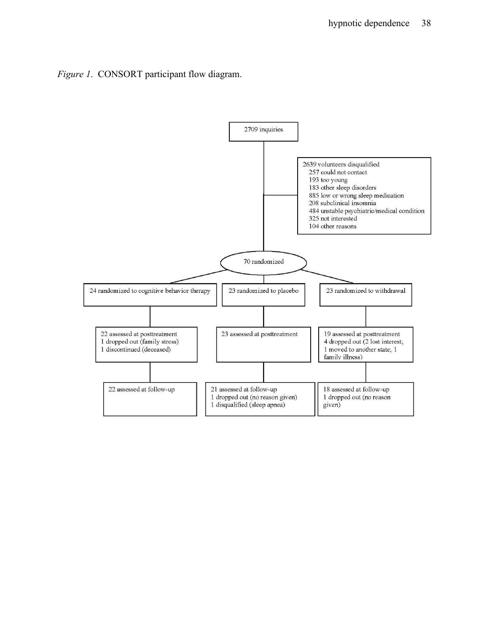

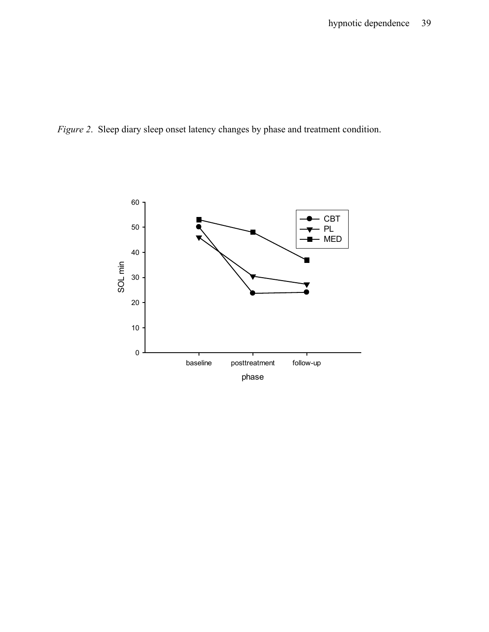*Figure 2*. Sleep diary sleep onset latency changes by phase and treatment condition.